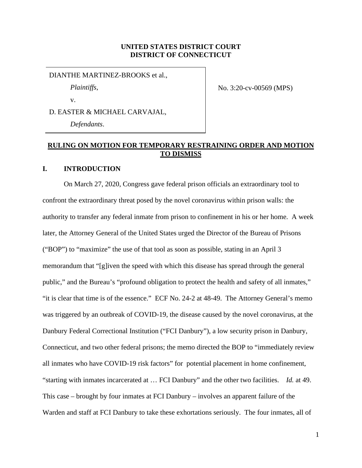# **UNITED STATES DISTRICT COURT DISTRICT OF CONNECTICUT**

#### DIANTHE MARTINEZ-BROOKS et al.,

*Plaintiffs*,

v.

No. 3:20-cv-00569 (MPS)

D. EASTER & MICHAEL CARVAJAL, *Defendants*.

# **RULING ON MOTION FOR TEMPORARY RESTRAINING ORDER AND MOTION TO DISMISS**

# **I. INTRODUCTION**

On March 27, 2020, Congress gave federal prison officials an extraordinary tool to confront the extraordinary threat posed by the novel coronavirus within prison walls: the authority to transfer any federal inmate from prison to confinement in his or her home. A week later, the Attorney General of the United States urged the Director of the Bureau of Prisons ("BOP") to "maximize" the use of that tool as soon as possible, stating in an April 3 memorandum that "[g]iven the speed with which this disease has spread through the general public," and the Bureau's "profound obligation to protect the health and safety of all inmates," "it is clear that time is of the essence." ECF No. 24-2 at 48-49. The Attorney General's memo was triggered by an outbreak of COVID-19, the disease caused by the novel coronavirus, at the Danbury Federal Correctional Institution ("FCI Danbury"), a low security prison in Danbury, Connecticut, and two other federal prisons; the memo directed the BOP to "immediately review all inmates who have COVID-19 risk factors" for potential placement in home confinement, "starting with inmates incarcerated at … FCI Danbury" and the other two facilities. *Id.* at 49. This case – brought by four inmates at FCI Danbury – involves an apparent failure of the Warden and staff at FCI Danbury to take these exhortations seriously. The four inmates, all of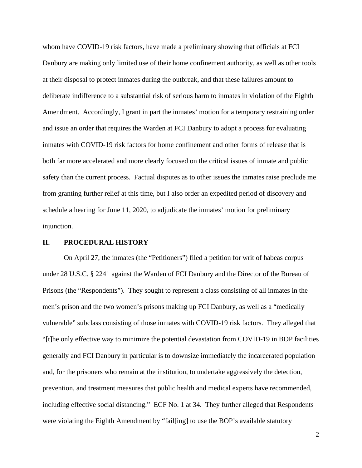whom have COVID-19 risk factors, have made a preliminary showing that officials at FCI Danbury are making only limited use of their home confinement authority, as well as other tools at their disposal to protect inmates during the outbreak, and that these failures amount to deliberate indifference to a substantial risk of serious harm to inmates in violation of the Eighth Amendment. Accordingly, I grant in part the inmates' motion for a temporary restraining order and issue an order that requires the Warden at FCI Danbury to adopt a process for evaluating inmates with COVID-19 risk factors for home confinement and other forms of release that is both far more accelerated and more clearly focused on the critical issues of inmate and public safety than the current process. Factual disputes as to other issues the inmates raise preclude me from granting further relief at this time, but I also order an expedited period of discovery and schedule a hearing for June 11, 2020, to adjudicate the inmates' motion for preliminary injunction.

## **II. PROCEDURAL HISTORY**

On April 27, the inmates (the "Petitioners") filed a petition for writ of habeas corpus under 28 U.S.C. § 2241 against the Warden of FCI Danbury and the Director of the Bureau of Prisons (the "Respondents"). They sought to represent a class consisting of all inmates in the men's prison and the two women's prisons making up FCI Danbury, as well as a "medically vulnerable" subclass consisting of those inmates with COVID-19 risk factors. They alleged that "[t]he only effective way to minimize the potential devastation from COVID-19 in BOP facilities generally and FCI Danbury in particular is to downsize immediately the incarcerated population and, for the prisoners who remain at the institution, to undertake aggressively the detection, prevention, and treatment measures that public health and medical experts have recommended, including effective social distancing." ECF No. 1 at 34. They further alleged that Respondents were violating the Eighth Amendment by "fail[ing] to use the BOP's available statutory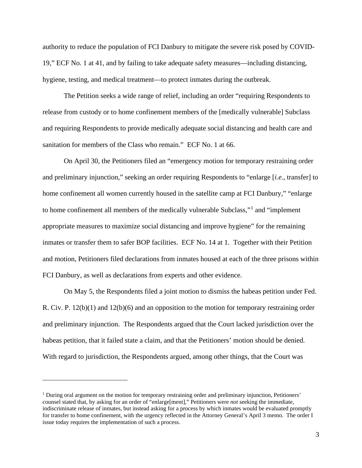authority to reduce the population of FCI Danbury to mitigate the severe risk posed by COVID-19," ECF No. 1 at 41, and by failing to take adequate safety measures—including distancing, hygiene, testing, and medical treatment—to protect inmates during the outbreak.

The Petition seeks a wide range of relief, including an order "requiring Respondents to release from custody or to home confinement members of the [medically vulnerable] Subclass and requiring Respondents to provide medically adequate social distancing and health care and sanitation for members of the Class who remain." ECF No. 1 at 66.

On April 30, the Petitioners filed an "emergency motion for temporary restraining order and preliminary injunction," seeking an order requiring Respondents to "enlarge [*i.e.*, transfer] to home confinement all women currently housed in the satellite camp at FCI Danbury," "enlarge to home confinement all members of the medically vulnerable Subclass,"[1](#page-2-0) and "implement appropriate measures to maximize social distancing and improve hygiene" for the remaining inmates or transfer them to safer BOP facilities. ECF No. 14 at 1. Together with their Petition and motion, Petitioners filed declarations from inmates housed at each of the three prisons within FCI Danbury, as well as declarations from experts and other evidence.

On May 5, the Respondents filed a joint motion to dismiss the habeas petition under Fed. R. Civ. P. 12(b)(1) and 12(b)(6) and an opposition to the motion for temporary restraining order and preliminary injunction. The Respondents argued that the Court lacked jurisdiction over the habeas petition, that it failed state a claim, and that the Petitioners' motion should be denied. With regard to jurisdiction, the Respondents argued, among other things, that the Court was

<span id="page-2-0"></span><sup>&</sup>lt;sup>1</sup> During oral argument on the motion for temporary restraining order and preliminary injunction, Petitioners' counsel stated that, by asking for an order of "enlarge[ment]," Petitioners were *not* seeking the immediate, indiscriminate release of inmates, but instead asking for a process by which inmates would be evaluated promptly for transfer to home confinement, with the urgency reflected in the Attorney General's April 3 memo. The order I issue today requires the implementation of such a process.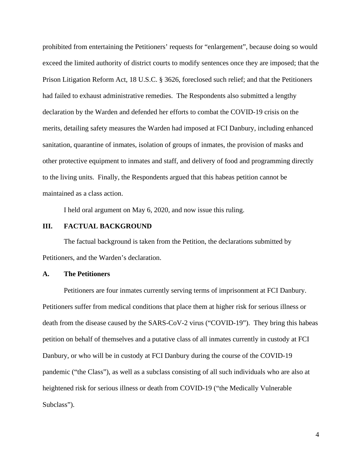prohibited from entertaining the Petitioners' requests for "enlargement", because doing so would exceed the limited authority of district courts to modify sentences once they are imposed; that the Prison Litigation Reform Act, 18 U.S.C. § 3626, foreclosed such relief; and that the Petitioners had failed to exhaust administrative remedies. The Respondents also submitted a lengthy declaration by the Warden and defended her efforts to combat the COVID-19 crisis on the merits, detailing safety measures the Warden had imposed at FCI Danbury, including enhanced sanitation, quarantine of inmates, isolation of groups of inmates, the provision of masks and other protective equipment to inmates and staff, and delivery of food and programming directly to the living units. Finally, the Respondents argued that this habeas petition cannot be maintained as a class action.

I held oral argument on May 6, 2020, and now issue this ruling.

## **III. FACTUAL BACKGROUND**

The factual background is taken from the Petition, the declarations submitted by Petitioners, and the Warden's declaration.

# **A. The Petitioners**

Petitioners are four inmates currently serving terms of imprisonment at FCI Danbury. Petitioners suffer from medical conditions that place them at higher risk for serious illness or death from the disease caused by the SARS-CoV-2 virus ("COVID-19"). They bring this habeas petition on behalf of themselves and a putative class of all inmates currently in custody at FCI Danbury, or who will be in custody at FCI Danbury during the course of the COVID-19 pandemic ("the Class"), as well as a subclass consisting of all such individuals who are also at heightened risk for serious illness or death from COVID-19 ("the Medically Vulnerable Subclass").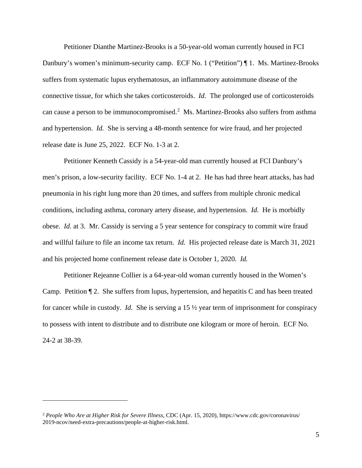Petitioner Dianthe Martinez-Brooks is a 50-year-old woman currently housed in FCI Danbury's women's minimum-security camp. ECF No. 1 ("Petition") ¶ 1. Ms. Martinez-Brooks suffers from systematic lupus erythematosus, an inflammatory autoimmune disease of the connective tissue, for which she takes corticosteroids. *Id.* The prolonged use of corticosteroids can cause a person to be immunocompromised.<sup>[2](#page-4-0)</sup> Ms. Martinez-Brooks also suffers from asthma and hypertension. *Id.* She is serving a 48-month sentence for wire fraud, and her projected release date is June 25, 2022. ECF No. 1-3 at 2.

Petitioner Kenneth Cassidy is a 54-year-old man currently housed at FCI Danbury's men's prison, a low-security facility. ECF No. 1-4 at 2. He has had three heart attacks, has had pneumonia in his right lung more than 20 times, and suffers from multiple chronic medical conditions, including asthma, coronary artery disease, and hypertension. *Id.* He is morbidly obese. *Id.* at 3. Mr. Cassidy is serving a 5 year sentence for conspiracy to commit wire fraud and willful failure to file an income tax return. *Id.* His projected release date is March 31, 2021 and his projected home confinement release date is October 1, 2020. *Id.*

Petitioner Rejeanne Collier is a 64-year-old woman currently housed in the Women's Camp. Petition ¶ 2. She suffers from lupus, hypertension, and hepatitis C and has been treated for cancer while in custody. *Id.* She is serving a 15 ½ year term of imprisonment for conspiracy to possess with intent to distribute and to distribute one kilogram or more of heroin. ECF No. 24-2 at 38-39.

<span id="page-4-0"></span><sup>2</sup> *People Who Are at Higher Risk for Severe Illness*, CDC (Apr. 15, 2020), https://www.cdc.gov/coronavirus/ 2019-ncov/need-extra-precautions/people-at-higher-risk.html.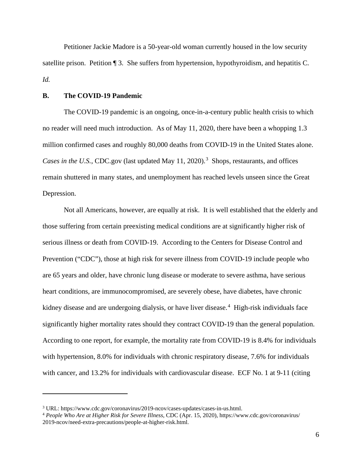Petitioner Jackie Madore is a 50-year-old woman currently housed in the low security satellite prison. Petition ¶ 3. She suffers from hypertension, hypothyroidism, and hepatitis C. *Id.*

## **B. The COVID-19 Pandemic**

The COVID-19 pandemic is an ongoing, once-in-a-century public health crisis to which no reader will need much introduction. As of May 11, 2020, there have been a whopping 1.3 million confirmed cases and roughly 80,000 deaths from COVID-19 in the United States alone. Cases in the U.S., CDC.gov (last updated May 11, 2020).<sup>[3](#page-5-0)</sup> Shops, restaurants, and offices remain shuttered in many states, and unemployment has reached levels unseen since the Great Depression.

Not all Americans, however, are equally at risk. It is well established that the elderly and those suffering from certain preexisting medical conditions are at significantly higher risk of serious illness or death from COVID-19. According to the Centers for Disease Control and Prevention ("CDC"), those at high risk for severe illness from COVID-19 include people who are 65 years and older, have chronic lung disease or moderate to severe asthma, have serious heart conditions, are immunocompromised, are severely obese, have diabetes, have chronic kidney disease and are undergoing dialysis, or have liver disease.<sup>[4](#page-5-1)</sup> High-risk individuals face significantly higher mortality rates should they contract COVID-19 than the general population. According to one report, for example, the mortality rate from COVID-19 is 8.4% for individuals with hypertension, 8.0% for individuals with chronic respiratory disease, 7.6% for individuals with cancer, and 13.2% for individuals with cardiovascular disease. ECF No. 1 at 9-11 (citing

<span id="page-5-0"></span><sup>3</sup> URL: https://www.cdc.gov/coronavirus/2019-ncov/cases-updates/cases-in-us.html.

<span id="page-5-1"></span><sup>4</sup> *People Who Are at Higher Risk for Severe Illness*, CDC (Apr. 15, 2020), https://www.cdc.gov/coronavirus/ 2019-ncov/need-extra-precautions/people-at-higher-risk.html.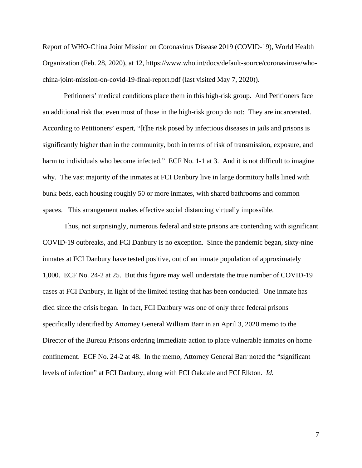Report of WHO-China Joint Mission on Coronavirus Disease 2019 (COVID-19), World Health Organization (Feb. 28, 2020), at 12, https://www.who.int/docs/default-source/coronaviruse/whochina-joint-mission-on-covid-19-final-report.pdf (last visited May 7, 2020)).

Petitioners' medical conditions place them in this high-risk group. And Petitioners face an additional risk that even most of those in the high-risk group do not: They are incarcerated. According to Petitioners' expert, "[t]he risk posed by infectious diseases in jails and prisons is significantly higher than in the community, both in terms of risk of transmission, exposure, and harm to individuals who become infected." ECF No. 1-1 at 3. And it is not difficult to imagine why. The vast majority of the inmates at FCI Danbury live in large dormitory halls lined with bunk beds, each housing roughly 50 or more inmates, with shared bathrooms and common spaces. This arrangement makes effective social distancing virtually impossible.

Thus, not surprisingly, numerous federal and state prisons are contending with significant COVID-19 outbreaks, and FCI Danbury is no exception. Since the pandemic began, sixty-nine inmates at FCI Danbury have tested positive, out of an inmate population of approximately 1,000. ECF No. 24-2 at 25. But this figure may well understate the true number of COVID-19 cases at FCI Danbury, in light of the limited testing that has been conducted. One inmate has died since the crisis began. In fact, FCI Danbury was one of only three federal prisons specifically identified by Attorney General William Barr in an April 3, 2020 memo to the Director of the Bureau Prisons ordering immediate action to place vulnerable inmates on home confinement. ECF No. 24-2 at 48. In the memo, Attorney General Barr noted the "significant levels of infection" at FCI Danbury, along with FCI Oakdale and FCI Elkton. *Id.*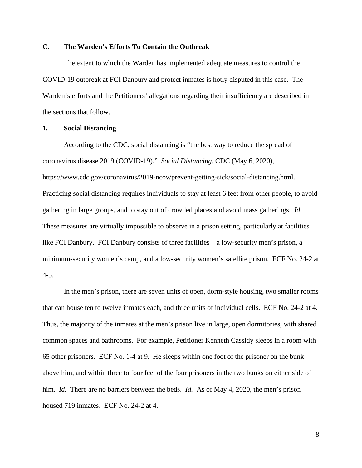# **C. The Warden's Efforts To Contain the Outbreak**

The extent to which the Warden has implemented adequate measures to control the COVID-19 outbreak at FCI Danbury and protect inmates is hotly disputed in this case. The Warden's efforts and the Petitioners' allegations regarding their insufficiency are described in the sections that follow.

# **1. Social Distancing**

According to the CDC, social distancing is "the best way to reduce the spread of coronavirus disease 2019 (COVID-19)." *Social Distancing*, CDC (May 6, 2020), https://www.cdc.gov/coronavirus/2019-ncov/prevent-getting-sick/social-distancing.html. Practicing social distancing requires individuals to stay at least 6 feet from other people, to avoid gathering in large groups, and to stay out of crowded places and avoid mass gatherings. *Id.* These measures are virtually impossible to observe in a prison setting, particularly at facilities like FCI Danbury. FCI Danbury consists of three facilities—a low-security men's prison, a minimum-security women's camp, and a low-security women's satellite prison. ECF No. 24-2 at  $4 - 5$ .

In the men's prison, there are seven units of open, dorm-style housing, two smaller rooms that can house ten to twelve inmates each, and three units of individual cells. ECF No. 24-2 at 4. Thus, the majority of the inmates at the men's prison live in large, open dormitories, with shared common spaces and bathrooms. For example, Petitioner Kenneth Cassidy sleeps in a room with 65 other prisoners. ECF No. 1-4 at 9. He sleeps within one foot of the prisoner on the bunk above him, and within three to four feet of the four prisoners in the two bunks on either side of him. *Id.* There are no barriers between the beds. *Id.* As of May 4, 2020, the men's prison housed 719 inmates. ECF No. 24-2 at 4.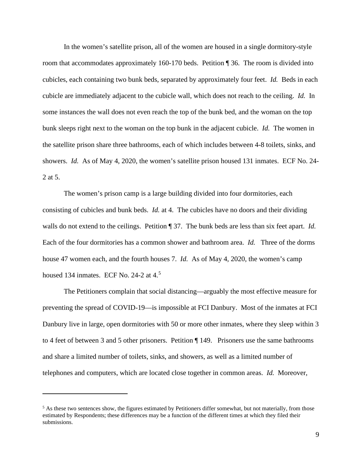In the women's satellite prison, all of the women are housed in a single dormitory-style room that accommodates approximately 160-170 beds. Petition ¶ 36. The room is divided into cubicles, each containing two bunk beds, separated by approximately four feet. *Id.* Beds in each cubicle are immediately adjacent to the cubicle wall, which does not reach to the ceiling. *Id.* In some instances the wall does not even reach the top of the bunk bed, and the woman on the top bunk sleeps right next to the woman on the top bunk in the adjacent cubicle. *Id.* The women in the satellite prison share three bathrooms, each of which includes between 4-8 toilets, sinks, and showers. *Id.* As of May 4, 2020, the women's satellite prison housed 131 inmates. ECF No. 24- 2 at 5.

The women's prison camp is a large building divided into four dormitories, each consisting of cubicles and bunk beds. *Id.* at 4. The cubicles have no doors and their dividing walls do not extend to the ceilings. Petition ¶ 37. The bunk beds are less than six feet apart. *Id.* Each of the four dormitories has a common shower and bathroom area. *Id.* Three of the dorms house 47 women each, and the fourth houses 7. *Id.* As of May 4, 2020, the women's camp housed 134 inmates. ECF No. 24-2 at 4.<sup>[5](#page-8-0)</sup>

The Petitioners complain that social distancing—arguably the most effective measure for preventing the spread of COVID-19—is impossible at FCI Danbury. Most of the inmates at FCI Danbury live in large, open dormitories with 50 or more other inmates, where they sleep within 3 to 4 feet of between 3 and 5 other prisoners. Petition ¶ 149. Prisoners use the same bathrooms and share a limited number of toilets, sinks, and showers, as well as a limited number of telephones and computers, which are located close together in common areas. *Id.* Moreover,

<span id="page-8-0"></span> $<sup>5</sup>$  As these two sentences show, the figures estimated by Petitioners differ somewhat, but not materially, from those</sup> estimated by Respondents; these differences may be a function of the different times at which they filed their submissions.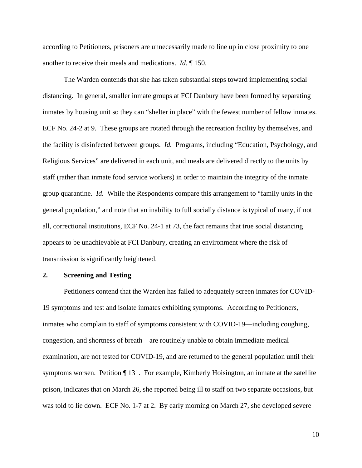according to Petitioners, prisoners are unnecessarily made to line up in close proximity to one another to receive their meals and medications. *Id.* ¶ 150.

The Warden contends that she has taken substantial steps toward implementing social distancing. In general, smaller inmate groups at FCI Danbury have been formed by separating inmates by housing unit so they can "shelter in place" with the fewest number of fellow inmates. ECF No. 24-2 at 9. These groups are rotated through the recreation facility by themselves, and the facility is disinfected between groups. *Id.* Programs, including "Education, Psychology, and Religious Services" are delivered in each unit, and meals are delivered directly to the units by staff (rather than inmate food service workers) in order to maintain the integrity of the inmate group quarantine. *Id.* While the Respondents compare this arrangement to "family units in the general population," and note that an inability to full socially distance is typical of many, if not all, correctional institutions, ECF No. 24-1 at 73, the fact remains that true social distancing appears to be unachievable at FCI Danbury, creating an environment where the risk of transmission is significantly heightened.

## **2. Screening and Testing**

Petitioners contend that the Warden has failed to adequately screen inmates for COVID-19 symptoms and test and isolate inmates exhibiting symptoms. According to Petitioners, inmates who complain to staff of symptoms consistent with COVID-19—including coughing, congestion, and shortness of breath—are routinely unable to obtain immediate medical examination, are not tested for COVID-19, and are returned to the general population until their symptoms worsen. Petition ¶ 131. For example, Kimberly Hoisington, an inmate at the satellite prison, indicates that on March 26, she reported being ill to staff on two separate occasions, but was told to lie down. ECF No. 1-7 at 2. By early morning on March 27, she developed severe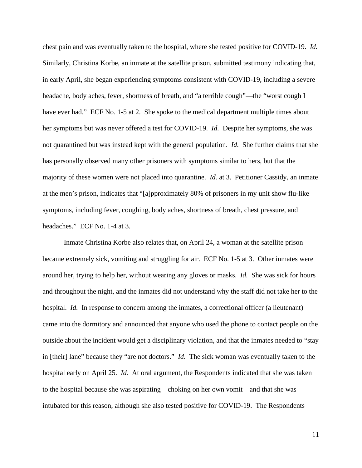chest pain and was eventually taken to the hospital, where she tested positive for COVID-19. *Id.* Similarly, Christina Korbe, an inmate at the satellite prison, submitted testimony indicating that, in early April, she began experiencing symptoms consistent with COVID-19, including a severe headache, body aches, fever, shortness of breath, and "a terrible cough"—the "worst cough I have ever had." ECF No. 1-5 at 2. She spoke to the medical department multiple times about her symptoms but was never offered a test for COVID-19. *Id.* Despite her symptoms, she was not quarantined but was instead kept with the general population. *Id.* She further claims that she has personally observed many other prisoners with symptoms similar to hers, but that the majority of these women were not placed into quarantine. *Id.* at 3. Petitioner Cassidy, an inmate at the men's prison, indicates that "[a]pproximately 80% of prisoners in my unit show flu-like symptoms, including fever, coughing, body aches, shortness of breath, chest pressure, and headaches." ECF No. 1-4 at 3.

Inmate Christina Korbe also relates that, on April 24, a woman at the satellite prison became extremely sick, vomiting and struggling for air. ECF No. 1-5 at 3. Other inmates were around her, trying to help her, without wearing any gloves or masks. *Id.* She was sick for hours and throughout the night, and the inmates did not understand why the staff did not take her to the hospital. *Id.* In response to concern among the inmates, a correctional officer (a lieutenant) came into the dormitory and announced that anyone who used the phone to contact people on the outside about the incident would get a disciplinary violation, and that the inmates needed to "stay in [their] lane" because they "are not doctors." *Id.* The sick woman was eventually taken to the hospital early on April 25. *Id.* At oral argument, the Respondents indicated that she was taken to the hospital because she was aspirating—choking on her own vomit—and that she was intubated for this reason, although she also tested positive for COVID-19. The Respondents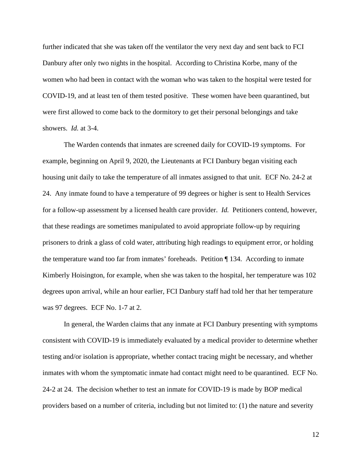further indicated that she was taken off the ventilator the very next day and sent back to FCI Danbury after only two nights in the hospital. According to Christina Korbe, many of the women who had been in contact with the woman who was taken to the hospital were tested for COVID-19, and at least ten of them tested positive. These women have been quarantined, but were first allowed to come back to the dormitory to get their personal belongings and take showers. *Id.* at 3-4.

The Warden contends that inmates are screened daily for COVID-19 symptoms. For example, beginning on April 9, 2020, the Lieutenants at FCI Danbury began visiting each housing unit daily to take the temperature of all inmates assigned to that unit. ECF No. 24-2 at 24. Any inmate found to have a temperature of 99 degrees or higher is sent to Health Services for a follow-up assessment by a licensed health care provider. *Id.* Petitioners contend, however, that these readings are sometimes manipulated to avoid appropriate follow-up by requiring prisoners to drink a glass of cold water, attributing high readings to equipment error, or holding the temperature wand too far from inmates' foreheads. Petition ¶ 134. According to inmate Kimberly Hoisington, for example, when she was taken to the hospital, her temperature was 102 degrees upon arrival, while an hour earlier, FCI Danbury staff had told her that her temperature was 97 degrees. ECF No. 1-7 at 2.

In general, the Warden claims that any inmate at FCI Danbury presenting with symptoms consistent with COVID-19 is immediately evaluated by a medical provider to determine whether testing and/or isolation is appropriate, whether contact tracing might be necessary, and whether inmates with whom the symptomatic inmate had contact might need to be quarantined. ECF No. 24-2 at 24. The decision whether to test an inmate for COVID-19 is made by BOP medical providers based on a number of criteria, including but not limited to: (1) the nature and severity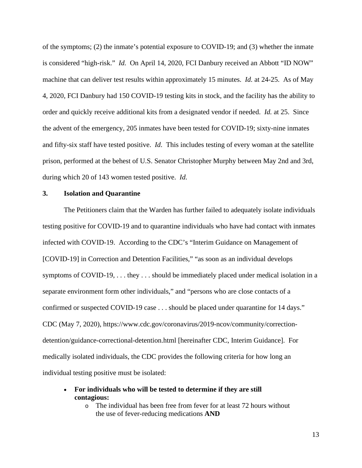of the symptoms; (2) the inmate's potential exposure to COVID-19; and (3) whether the inmate is considered "high-risk." *Id.* On April 14, 2020, FCI Danbury received an Abbott "ID NOW" machine that can deliver test results within approximately 15 minutes. *Id.* at 24-25. As of May 4, 2020, FCI Danbury had 150 COVID-19 testing kits in stock, and the facility has the ability to order and quickly receive additional kits from a designated vendor if needed. *Id.* at 25. Since the advent of the emergency, 205 inmates have been tested for COVID-19; sixty-nine inmates and fifty-six staff have tested positive. *Id*. This includes testing of every woman at the satellite prison, performed at the behest of U.S. Senator Christopher Murphy between May 2nd and 3rd, during which 20 of 143 women tested positive. *Id.*

## **3. Isolation and Quarantine**

The Petitioners claim that the Warden has further failed to adequately isolate individuals testing positive for COVID-19 and to quarantine individuals who have had contact with inmates infected with COVID-19. According to the CDC's "Interim Guidance on Management of [COVID-19] in Correction and Detention Facilities," "as soon as an individual develops symptoms of COVID-19, ... they ... should be immediately placed under medical isolation in a separate environment form other individuals," and "persons who are close contacts of a confirmed or suspected COVID-19 case . . . should be placed under quarantine for 14 days." CDC (May 7, 2020), https://www.cdc.gov/coronavirus/2019-ncov/community/correctiondetention/guidance-correctional-detention.html [hereinafter CDC, Interim Guidance]. For medically isolated individuals, the CDC provides the following criteria for how long an individual testing positive must be isolated:

- **For individuals who will be tested to determine if they are still contagious:**
	- o The individual has been free from fever for at least 72 hours without the use of fever-reducing medications **AND**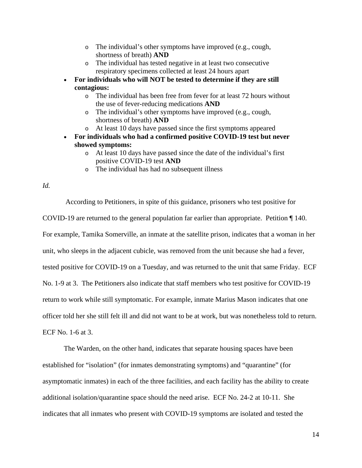- o The individual's other symptoms have improved (e.g., cough, shortness of breath) **AND**
- o The individual has tested negative in at least two consecutive respiratory specimens collected at least 24 hours apart
- **For individuals who will NOT be tested to determine if they are still contagious:**
	- o The individual has been free from fever for at least 72 hours without the use of fever-reducing medications **AND**
	- o The individual's other symptoms have improved (e.g., cough, shortness of breath) **AND**
	- o At least 10 days have passed since the first symptoms appeared
- **For individuals who had a confirmed positive COVID-19 test but never showed symptoms:**
	- o At least 10 days have passed since the date of the individual's first positive COVID-19 test **AND**
	- o The individual has had no subsequent illness

*Id.*

According to Petitioners, in spite of this guidance, prisoners who test positive for COVID-19 are returned to the general population far earlier than appropriate. Petition ¶ 140. For example, Tamika Somerville, an inmate at the satellite prison, indicates that a woman in her unit, who sleeps in the adjacent cubicle, was removed from the unit because she had a fever, tested positive for COVID-19 on a Tuesday, and was returned to the unit that same Friday. ECF No. 1-9 at 3. The Petitioners also indicate that staff members who test positive for COVID-19 return to work while still symptomatic. For example, inmate Marius Mason indicates that one officer told her she still felt ill and did not want to be at work, but was nonetheless told to return. ECF No. 1-6 at 3.

The Warden, on the other hand, indicates that separate housing spaces have been established for "isolation" (for inmates demonstrating symptoms) and "quarantine" (for asymptomatic inmates) in each of the three facilities, and each facility has the ability to create additional isolation/quarantine space should the need arise. ECF No. 24-2 at 10-11. She indicates that all inmates who present with COVID-19 symptoms are isolated and tested the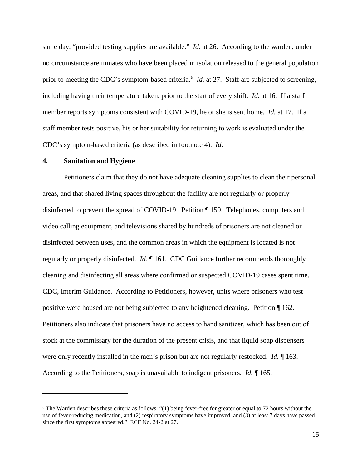same day, "provided testing supplies are available." *Id.* at 26. According to the warden, under no circumstance are inmates who have been placed in isolation released to the general population prior to meeting the CDC's symptom-based criteria.<sup>[6](#page-14-0)</sup> *Id.* at 27. Staff are subjected to screening, including having their temperature taken, prior to the start of every shift. *Id.* at 16. If a staff member reports symptoms consistent with COVID-19, he or she is sent home. *Id.* at 17. If a staff member tests positive, his or her suitability for returning to work is evaluated under the CDC's symptom-based criteria (as described in footnote 4). *Id.*

## **4. Sanitation and Hygiene**

Petitioners claim that they do not have adequate cleaning supplies to clean their personal areas, and that shared living spaces throughout the facility are not regularly or properly disinfected to prevent the spread of COVID-19. Petition ¶ 159. Telephones, computers and video calling equipment, and televisions shared by hundreds of prisoners are not cleaned or disinfected between uses, and the common areas in which the equipment is located is not regularly or properly disinfected. *Id.* ¶ 161. CDC Guidance further recommends thoroughly cleaning and disinfecting all areas where confirmed or suspected COVID-19 cases spent time. CDC, Interim Guidance. According to Petitioners, however, units where prisoners who test positive were housed are not being subjected to any heightened cleaning. Petition ¶ 162. Petitioners also indicate that prisoners have no access to hand sanitizer, which has been out of stock at the commissary for the duration of the present crisis, and that liquid soap dispensers were only recently installed in the men's prison but are not regularly restocked. *Id.* ¶ 163. According to the Petitioners, soap is unavailable to indigent prisoners. *Id.* ¶ 165.

<span id="page-14-0"></span> $6$  The Warden describes these criteria as follows: "(1) being fever-free for greater or equal to 72 hours without the use of fever-reducing medication, and (2) respiratory symptoms have improved, and (3) at least 7 days have passed since the first symptoms appeared." ECF No. 24-2 at 27.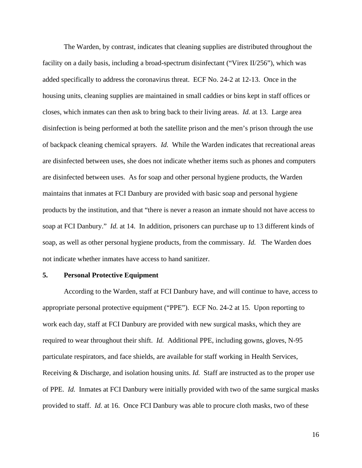The Warden, by contrast, indicates that cleaning supplies are distributed throughout the facility on a daily basis, including a broad-spectrum disinfectant ("Virex II/256"), which was added specifically to address the coronavirus threat. ECF No. 24-2 at 12-13. Once in the housing units, cleaning supplies are maintained in small caddies or bins kept in staff offices or closes, which inmates can then ask to bring back to their living areas. *Id.* at 13.Large area disinfection is being performed at both the satellite prison and the men's prison through the use of backpack cleaning chemical sprayers. *Id.* While the Warden indicates that recreational areas are disinfected between uses, she does not indicate whether items such as phones and computers are disinfected between uses. As for soap and other personal hygiene products, the Warden maintains that inmates at FCI Danbury are provided with basic soap and personal hygiene products by the institution, and that "there is never a reason an inmate should not have access to soap at FCI Danbury." *Id.* at 14. In addition, prisoners can purchase up to 13 different kinds of soap, as well as other personal hygiene products, from the commissary. *Id.* The Warden does not indicate whether inmates have access to hand sanitizer.

#### **5. Personal Protective Equipment**

According to the Warden, staff at FCI Danbury have, and will continue to have, access to appropriate personal protective equipment ("PPE"). ECF No. 24-2 at 15. Upon reporting to work each day, staff at FCI Danbury are provided with new surgical masks, which they are required to wear throughout their shift. *Id.* Additional PPE, including gowns, gloves, N-95 particulate respirators, and face shields, are available for staff working in Health Services, Receiving & Discharge, and isolation housing units. *Id.* Staff are instructed as to the proper use of PPE. *Id.* Inmates at FCI Danbury were initially provided with two of the same surgical masks provided to staff. *Id.* at 16. Once FCI Danbury was able to procure cloth masks, two of these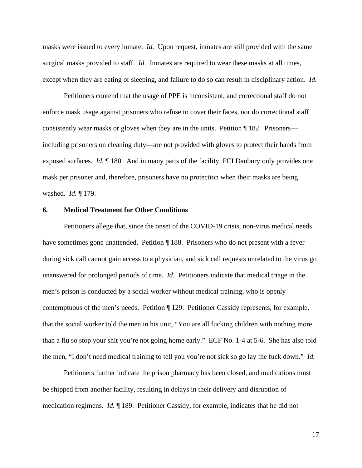masks were issued to every inmate. *Id.* Upon request, inmates are still provided with the same surgical masks provided to staff. *Id.* Inmates are required to wear these masks at all times, except when they are eating or sleeping, and failure to do so can result in disciplinary action. *Id.*

Petitioners contend that the usage of PPE is inconsistent, and correctional staff do not enforce mask usage against prisoners who refuse to cover their faces, nor do correctional staff consistently wear masks or gloves when they are in the units. Petition ¶ 182. Prisoners including prisoners on cleaning duty—are not provided with gloves to protect their hands from exposed surfaces. *Id.* ¶ 180. And in many parts of the facility, FCI Danbury only provides one mask per prisoner and, therefore, prisoners have no protection when their masks are being washed. *Id.* ¶ 179.

### **6. Medical Treatment for Other Conditions**

Petitioners allege that, since the onset of the COVID-19 crisis, non-virus medical needs have sometimes gone unattended. Petition ¶ 188. Prisoners who do not present with a fever during sick call cannot gain access to a physician, and sick call requests unrelated to the virus go unanswered for prolonged periods of time. *Id.* Petitioners indicate that medical triage in the men's prison is conducted by a social worker without medical training, who is openly contemptuous of the men's needs. Petition [129. Petitioner Cassidy represents, for example, that the social worker told the men in his unit, "You are all fucking children with nothing more than a flu so stop your shit you're not going home early." ECF No. 1-4 at 5-6. She has also told the men, "I don't need medical training to tell you you're not sick so go lay the fuck down." *Id.*

Petitioners further indicate the prison pharmacy has been closed, and medications must be shipped from another facility, resulting in delays in their delivery and disruption of medication regimens. *Id.* ¶ 189. Petitioner Cassidy, for example, indicates that he did not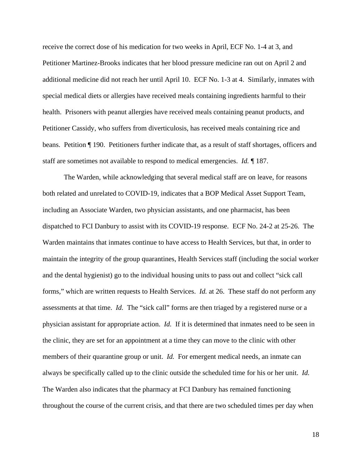receive the correct dose of his medication for two weeks in April, ECF No. 1-4 at 3, and Petitioner Martinez-Brooks indicates that her blood pressure medicine ran out on April 2 and additional medicine did not reach her until April 10. ECF No. 1-3 at 4. Similarly, inmates with special medical diets or allergies have received meals containing ingredients harmful to their health. Prisoners with peanut allergies have received meals containing peanut products, and Petitioner Cassidy, who suffers from diverticulosis, has received meals containing rice and beans. Petition ¶ 190. Petitioners further indicate that, as a result of staff shortages, officers and staff are sometimes not available to respond to medical emergencies. *Id.* ¶ 187.

The Warden, while acknowledging that several medical staff are on leave, for reasons both related and unrelated to COVID-19, indicates that a BOP Medical Asset Support Team, including an Associate Warden, two physician assistants, and one pharmacist, has been dispatched to FCI Danbury to assist with its COVID-19 response. ECF No. 24-2 at 25-26. The Warden maintains that inmates continue to have access to Health Services, but that, in order to maintain the integrity of the group quarantines, Health Services staff (including the social worker and the dental hygienist) go to the individual housing units to pass out and collect "sick call forms," which are written requests to Health Services. *Id.* at 26. These staff do not perform any assessments at that time. *Id.* The "sick call" forms are then triaged by a registered nurse or a physician assistant for appropriate action. *Id.* If it is determined that inmates need to be seen in the clinic, they are set for an appointment at a time they can move to the clinic with other members of their quarantine group or unit. *Id.* For emergent medical needs, an inmate can always be specifically called up to the clinic outside the scheduled time for his or her unit. *Id.* The Warden also indicates that the pharmacy at FCI Danbury has remained functioning throughout the course of the current crisis, and that there are two scheduled times per day when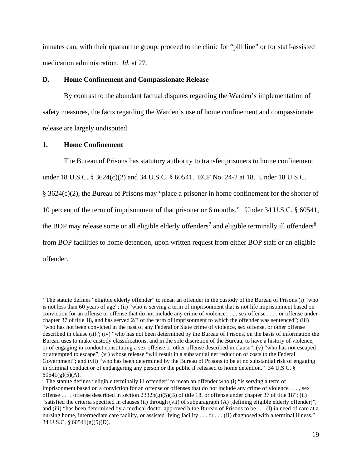inmates can, with their quarantine group, proceed to the clinic for "pill line" or for staff-assisted medication administration. *Id.* at 27.

## **D. Home Confinement and Compassionate Release**

By contrast to the abundant factual disputes regarding the Warden's implementation of safety measures, the facts regarding the Warden's use of home confinement and compassionate release are largely undisputed.

## **1. Home Confinement**

The Bureau of Prisons has statutory authority to transfer prisoners to home confinement under 18 U.S.C. § 3624(c)(2) and 34 U.S.C. § 60541. ECF No. 24-2 at 18. Under 18 U.S.C. § 3624(c)(2), the Bureau of Prisons may "place a prisoner in home confinement for the shorter of 10 percent of the term of imprisonment of that prisoner or 6 months." Under 34 U.S.C. § 60541, the BOP may release some or all eligible elderly offenders<sup>[7](#page-18-0)</sup> and eligible terminally ill offenders<sup>[8](#page-18-1)</sup> from BOP facilities to home detention, upon written request from either BOP staff or an eligible offender.

<span id="page-18-0"></span><sup>&</sup>lt;sup>7</sup> The statute defines "eligible elderly offender" to mean an offender in the custody of the Bureau of Prisons (i) "who is not less than 60 years of age"; (ii) "who is serving a term of imprisonment that is not life imprisonment based on conviction for an offense or offense that do not include any crime of violence . . . , sex offense . . . , or offense under chapter 37 of title 18, and has served 2/3 of the term of imprisonment to which the offender was sentenced"; (iii) "who has not been convicted in the past of any Federal or State crime of violence, sex offense, or other offense described in clause (ii)"; (iv) "who has not been determined by the Bureau of Prisons, on the basis of information the Bureau uses to make custody classifications, and in the sole discretion of the Bureau, to have a history of violence, or of engaging in conduct constituting a sex offense or other offense described in clause"; (v) "who has not escaped or attempted to escape"; (vi) whose release "will result in a substantial net reduction of costs to the Federal Government"; and (vii) "who has been determined by the Bureau of Prisons to be at no substantial risk of engaging in criminal conduct or of endangering any person or the public if released to home detention." 34 U.S.C. §  $60541(g)(5)(A)$ .

<span id="page-18-1"></span><sup>&</sup>lt;sup>8</sup> The statute defines "eligible terminally ill offender" to mean an offender who (i) "is serving a term of imprisonment based on a conviction for an offense or offenses that do not include any crime of violence . . . , sex offense ..., offense described in section  $2332b(g)(5)(B)$  of title 18, or offense under chapter 37 of title 18"; (ii) "satisfied the criteria specified in clauses (ii) through (vii) of subparagraph (A) [defining eligible elderly offender]"; and (iii) "has been determined by a medical doctor approved b the Bureau of Prisons to be . . . (I) in need of care at a nursing home, intermediate care facility, or assisted living facility . . . or . . . (II) diagnosed with a terminal illness." 34 U.S.C. § 60541(g)(5)(D).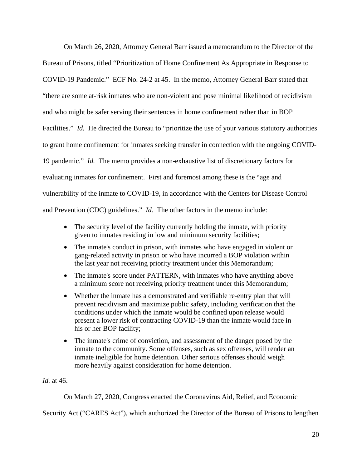On March 26, 2020, Attorney General Barr issued a memorandum to the Director of the Bureau of Prisons, titled "Prioritization of Home Confinement As Appropriate in Response to COVID-19 Pandemic." ECF No. 24-2 at 45. In the memo, Attorney General Barr stated that "there are some at-risk inmates who are non-violent and pose minimal likelihood of recidivism and who might be safer serving their sentences in home confinement rather than in BOP Facilities." *Id.* He directed the Bureau to "prioritize the use of your various statutory authorities to grant home confinement for inmates seeking transfer in connection with the ongoing COVID-19 pandemic." *Id.* The memo provides a non-exhaustive list of discretionary factors for evaluating inmates for confinement. First and foremost among these is the "age and vulnerability of the inmate to COVID-19, in accordance with the Centers for Disease Control and Prevention (CDC) guidelines." *Id.* The other factors in the memo include:

- The security level of the facility currently holding the inmate, with priority given to inmates residing in low and minimum security facilities;
- The inmate's conduct in prison, with inmates who have engaged in violent or gang-related activity in prison or who have incurred a BOP violation within the last year not receiving priority treatment under this Memorandum;
- The inmate's score under PATTERN, with inmates who have anything above a minimum score not receiving priority treatment under this Memorandum;
- Whether the inmate has a demonstrated and verifiable re-entry plan that will prevent recidivism and maximize public safety, including verification that the conditions under which the inmate would be confined upon release would present a lower risk of contracting COVID-19 than the inmate would face in his or her BOP facility;
- The inmate's crime of conviction, and assessment of the danger posed by the inmate to the community. Some offenses, such as sex offenses, will render an inmate ineligible for home detention. Other serious offenses should weigh more heavily against consideration for home detention.

*Id.* at 46.

On March 27, 2020, Congress enacted the Coronavirus Aid, Relief, and Economic

Security Act ("CARES Act"), which authorized the Director of the Bureau of Prisons to lengthen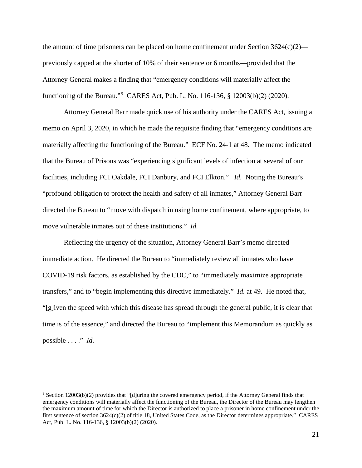the amount of time prisoners can be placed on home confinement under Section  $3624(c)(2)$  previously capped at the shorter of 10% of their sentence or 6 months—provided that the Attorney General makes a finding that "emergency conditions will materially affect the functioning of the Bureau."[9](#page-20-0) CARES Act, Pub. L. No. 116-136, § 12003(b)(2) (2020).

Attorney General Barr made quick use of his authority under the CARES Act, issuing a memo on April 3, 2020, in which he made the requisite finding that "emergency conditions are materially affecting the functioning of the Bureau." ECF No. 24-1 at 48. The memo indicated that the Bureau of Prisons was "experiencing significant levels of infection at several of our facilities, including FCI Oakdale, FCI Danbury, and FCI Elkton." *Id.* Noting the Bureau's "profound obligation to protect the health and safety of all inmates," Attorney General Barr directed the Bureau to "move with dispatch in using home confinement, where appropriate, to move vulnerable inmates out of these institutions." *Id.*

Reflecting the urgency of the situation, Attorney General Barr's memo directed immediate action. He directed the Bureau to "immediately review all inmates who have COVID-19 risk factors, as established by the CDC," to "immediately maximize appropriate transfers," and to "begin implementing this directive immediately." *Id.* at 49. He noted that, "[g]iven the speed with which this disease has spread through the general public, it is clear that time is of the essence," and directed the Bureau to "implement this Memorandum as quickly as possible . . . ." *Id.*

<span id="page-20-0"></span><sup>&</sup>lt;sup>9</sup> Section 12003(b)(2) provides that "[d]uring the covered emergency period, if the Attorney General finds that emergency conditions will materially affect the functioning of the Bureau, the Director of the Bureau may lengthen the maximum amount of time for which the Director is authorized to place a prisoner in home confinement under the first sentence of section 3624(c)(2) of title 18, United States Code, as the Director determines appropriate." CARES Act, Pub. L. No. 116-136, § 12003(b)(2) (2020).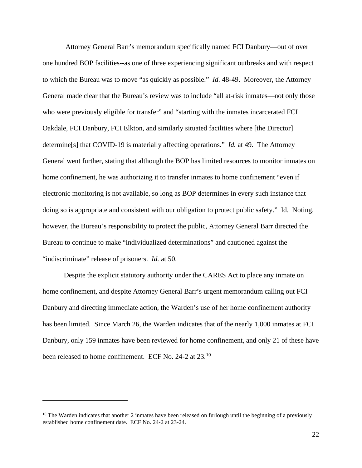Attorney General Barr's memorandum specifically named FCI Danbury—out of over one hundred BOP facilities--as one of three experiencing significant outbreaks and with respect to which the Bureau was to move "as quickly as possible." *Id.* 48-49. Moreover, the Attorney General made clear that the Bureau's review was to include "all at-risk inmates—not only those who were previously eligible for transfer" and "starting with the inmates incarcerated FCI Oakdale, FCI Danbury, FCI Elkton, and similarly situated facilities where [the Director] determine[s] that COVID-19 is materially affecting operations." *Id.* at 49. The Attorney General went further, stating that although the BOP has limited resources to monitor inmates on home confinement, he was authorizing it to transfer inmates to home confinement "even if electronic monitoring is not available, so long as BOP determines in every such instance that doing so is appropriate and consistent with our obligation to protect public safety." Id. Noting, however, the Bureau's responsibility to protect the public, Attorney General Barr directed the Bureau to continue to make "individualized determinations" and cautioned against the "indiscriminate" release of prisoners. *Id.* at 50.

Despite the explicit statutory authority under the CARES Act to place any inmate on home confinement, and despite Attorney General Barr's urgent memorandum calling out FCI Danbury and directing immediate action, the Warden's use of her home confinement authority has been limited. Since March 26, the Warden indicates that of the nearly 1,000 inmates at FCI Danbury, only 159 inmates have been reviewed for home confinement, and only 21 of these have been released to home confinement. ECF No. 24-2 at 23.<sup>10</sup>

<span id="page-21-0"></span> $10$  The Warden indicates that another 2 inmates have been released on furlough until the beginning of a previously established home confinement date. ECF No. 24-2 at 23-24.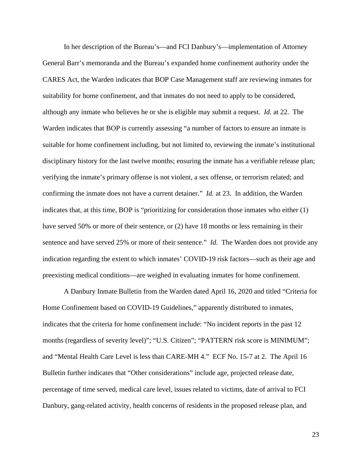In her description of the Bureau's—and FCI Danbury's—implementation of Attorney General Barr's memoranda and the Bureau's expanded home confinement authority under the CARES Act, the Warden indicates that BOP Case Management staff are reviewing inmates for suitability for home confinement, and that inmates do not need to apply to be considered, although any inmate who believes he or she is eligible may submit a request. *Id.* at 22. The Warden indicates that BOP is currently assessing "a number of factors to ensure an inmate is suitable for home confinement including, but not limited to, reviewing the inmate's institutional disciplinary history for the last twelve months; ensuring the inmate has a verifiable release plan; verifying the inmate's primary offense is not violent, a sex offense, or terrorism related; and confirming the inmate does not have a current detainer." *Id.* at 23. In addition, the Warden indicates that, at this time, BOP is "prioritizing for consideration those inmates who either (1) have served 50% or more of their sentence, or (2) have 18 months or less remaining in their sentence and have served 25% or more of their sentence." *Id.* The Warden does not provide any indication regarding the extent to which inmates' COVID-19 risk factors—such as their age and preexisting medical conditions—are weighed in evaluating inmates for home confinement.

A Danbury Inmate Bulletin from the Warden dated April 16, 2020 and titled "Criteria for Home Confinement based on COVID-19 Guidelines," apparently distributed to inmates, indicates that the criteria for home confinement include: "No incident reports in the past 12 months (regardless of severity level)"; "U.S. Citizen"; "PATTERN risk score is MINIMUM"; and "Mental Health Care Level is less than CARE-MH 4." ECF No. 15-7 at 2. The April 16 Bulletin further indicates that "Other considerations" include age, projected release date, percentage of time served, medical care level, issues related to victims, date of arrival to FCI Danbury, gang-related activity, health concerns of residents in the proposed release plan, and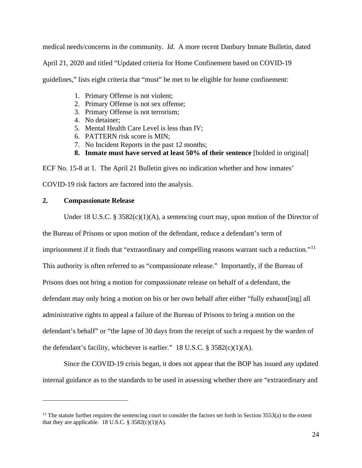medical needs/concerns in the community. *Id.* A more recent Danbury Inmate Bulletin, dated

April 21, 2020 and titled "Updated criteria for Home Confinement based on COVID-19

guidelines," lists eight criteria that "must" be met to be eligible for home confinement:

- 1. Primary Offense is not violent;
- 2. Primary Offense is not sex offense;
- 3. Primary Offense is not terrorism;
- 4. No detainer;
- 5. Mental Health Care Level is less than IV;
- 6. PATTERN risk score is MIN;
- 7. No Incident Reports in the past 12 months;
- **8. Inmate must have served at least 50% of their sentence** [bolded in original]

ECF No. 15-8 at 1. The April 21 Bulletin gives no indication whether and how inmates'

COVID-19 risk factors are factored into the analysis.

## **2. Compassionate Release**

Under 18 U.S.C. § 3582(c)(1)(A), a sentencing court may, upon motion of the Director of

the Bureau of Prisons or upon motion of the defendant, reduce a defendant's term of

imprisonment if it finds that "extraordinary and compelling reasons warrant such a reduction."[11](#page-23-0)

This authority is often referred to as "compassionate release." Importantly, if the Bureau of

Prisons does not bring a motion for compassionate release on behalf of a defendant, the

defendant may only bring a motion on his or her own behalf after either "fully exhaust[ing] all

administrative rights to appeal a failure of the Bureau of Prisons to bring a motion on the

defendant's behalf" or "the lapse of 30 days from the receipt of such a request by the warden of

the defendant's facility, whichever is earlier." 18 U.S.C.  $\S 3582(c)(1)(A)$ .

Since the COVID-19 crisis began, it does not appear that the BOP has issued any updated internal guidance as to the standards to be used in assessing whether there are "extraordinary and

<span id="page-23-0"></span> $11$  The statute further requires the sentencing court to consider the factors set forth in Section 3553(a) to the extent that they are applicable. 18 U.S.C.  $\S 3582(c)(1)(A)$ .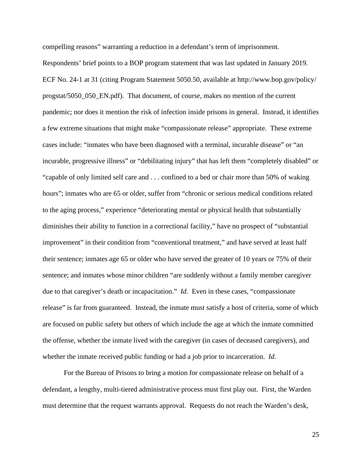compelling reasons" warranting a reduction in a defendant's term of imprisonment. Respondents' brief points to a BOP program statement that was last updated in January 2019. ECF No. 24-1 at 31 (citing Program Statement 5050.50, available at http://www.bop.gov/policy/ progstat/5050\_050\_EN.pdf). That document, of course, makes no mention of the current pandemic; nor does it mention the risk of infection inside prisons in general. Instead, it identifies a few extreme situations that might make "compassionate release" appropriate. These extreme cases include: "inmates who have been diagnosed with a terminal, incurable disease" or "an incurable, progressive illness" or "debilitating injury" that has left them "completely disabled" or "capable of only limited self care and . . . confined to a bed or chair more than 50% of waking hours"; inmates who are 65 or older, suffer from "chronic or serious medical conditions related to the aging process," experience "deteriorating mental or physical health that substantially diminishes their ability to function in a correctional facility," have no prospect of "substantial improvement" in their condition from "conventional treatment," and have served at least half their sentence; inmates age 65 or older who have served the greater of 10 years or 75% of their sentence; and inmates whose minor children "are suddenly without a family member caregiver due to that caregiver's death or incapacitation." *Id.* Even in these cases, "compassionate release" is far from guaranteed. Instead, the inmate must satisfy a host of criteria, some of which are focused on public safety but others of which include the age at which the inmate committed the offense, whether the inmate lived with the caregiver (in cases of deceased caregivers), and whether the inmate received public funding or had a job prior to incarceration. *Id.*

For the Bureau of Prisons to bring a motion for compassionate release on behalf of a defendant, a lengthy, multi-tiered administrative process must first play out. First, the Warden must determine that the request warrants approval. Requests do not reach the Warden's desk,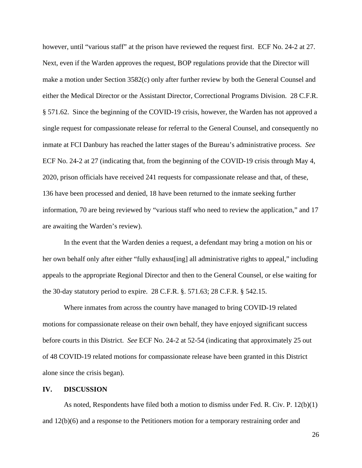however, until "various staff" at the prison have reviewed the request first. ECF No. 24-2 at 27. Next, even if the Warden approves the request, BOP regulations provide that the Director will make a motion under Section 3582(c) only after further review by both the General Counsel and either the Medical Director or the Assistant Director, Correctional Programs Division. 28 C.F.R. § 571.62. Since the beginning of the COVID-19 crisis, however, the Warden has not approved a single request for compassionate release for referral to the General Counsel, and consequently no inmate at FCI Danbury has reached the latter stages of the Bureau's administrative process. *See*  ECF No. 24-2 at 27 (indicating that, from the beginning of the COVID-19 crisis through May 4, 2020, prison officials have received 241 requests for compassionate release and that, of these, 136 have been processed and denied, 18 have been returned to the inmate seeking further information, 70 are being reviewed by "various staff who need to review the application," and 17 are awaiting the Warden's review).

In the event that the Warden denies a request, a defendant may bring a motion on his or her own behalf only after either "fully exhaust [ing] all administrative rights to appeal," including appeals to the appropriate Regional Director and then to the General Counsel, or else waiting for the 30-day statutory period to expire. 28 C.F.R. §. 571.63; 28 C.F.R. § 542.15.

Where inmates from across the country have managed to bring COVID-19 related motions for compassionate release on their own behalf, they have enjoyed significant success before courts in this District. *See* ECF No. 24-2 at 52-54 (indicating that approximately 25 out of 48 COVID-19 related motions for compassionate release have been granted in this District alone since the crisis began).

### **IV. DISCUSSION**

As noted, Respondents have filed both a motion to dismiss under Fed. R. Civ. P. 12(b)(1) and 12(b)(6) and a response to the Petitioners motion for a temporary restraining order and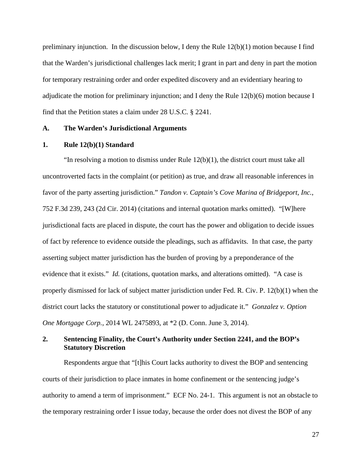preliminary injunction. In the discussion below, I deny the Rule 12(b)(1) motion because I find that the Warden's jurisdictional challenges lack merit; I grant in part and deny in part the motion for temporary restraining order and order expedited discovery and an evidentiary hearing to adjudicate the motion for preliminary injunction; and I deny the Rule 12(b)(6) motion because I find that the Petition states a claim under 28 U.S.C. § 2241.

# **A. The Warden's Jurisdictional Arguments**

## **1. Rule 12(b)(1) Standard**

"In resolving a motion to dismiss under Rule  $12(b)(1)$ , the district court must take all uncontroverted facts in the complaint (or petition) as true, and draw all reasonable inferences in favor of the party asserting jurisdiction." *Tandon v. Captain's Cove Marina of Bridgeport, Inc.*, 752 F.3d 239, 243 (2d Cir. 2014) (citations and internal quotation marks omitted). "[W]here jurisdictional facts are placed in dispute, the court has the power and obligation to decide issues of fact by reference to evidence outside the pleadings, such as affidavits. In that case, the party asserting subject matter jurisdiction has the burden of proving by a preponderance of the evidence that it exists." *Id.* (citations, quotation marks, and alterations omitted). "A case is properly dismissed for lack of subject matter jurisdiction under Fed. R. Civ. P. 12(b)(1) when the district court lacks the statutory or constitutional power to adjudicate it." *Gonzalez v. Option One Mortgage Corp.*, 2014 WL 2475893, at \*2 (D. Conn. June 3, 2014).

# **2. Sentencing Finality, the Court's Authority under Section 2241, and the BOP's Statutory Discretion**

Respondents argue that "[t]his Court lacks authority to divest the BOP and sentencing courts of their jurisdiction to place inmates in home confinement or the sentencing judge's authority to amend a term of imprisonment." ECF No. 24-1. This argument is not an obstacle to the temporary restraining order I issue today, because the order does not divest the BOP of any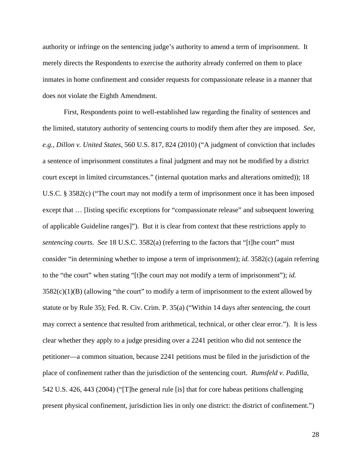authority or infringe on the sentencing judge's authority to amend a term of imprisonment. It merely directs the Respondents to exercise the authority already conferred on them to place inmates in home confinement and consider requests for compassionate release in a manner that does not violate the Eighth Amendment.

First, Respondents point to well-established law regarding the finality of sentences and the limited, statutory authority of sentencing courts to modify them after they are imposed. *See, e.g., Dillon v. United States*, 560 U.S. 817, 824 (2010) ("A judgment of conviction that includes a sentence of imprisonment constitutes a final judgment and may not be modified by a district court except in limited circumstances." (internal quotation marks and alterations omitted)); 18 U.S.C. § 3582(c) ("The court may not modify a term of imprisonment once it has been imposed except that … [listing specific exceptions for "compassionate release" and subsequent lowering of applicable Guideline ranges]"). But it is clear from context that these restrictions apply to *sentencing courts. See* 18 U.S.C. 3582(a) (referring to the factors that "[t]he court" must consider "in determining whether to impose a term of imprisonment); *id.* 3582(c) (again referring to the "the court" when stating "[t]he court may not modify a term of imprisonment"); *id.*  $3582(c)(1)(B)$  (allowing "the court" to modify a term of imprisonment to the extent allowed by statute or by Rule 35); Fed. R. Civ. Crim. P. 35(a) ("Within 14 days after sentencing, the court may correct a sentence that resulted from arithmetical, technical, or other clear error."). It is less clear whether they apply to a judge presiding over a 2241 petition who did not sentence the petitioner—a common situation, because 2241 petitions must be filed in the jurisdiction of the place of confinement rather than the jurisdiction of the sentencing court. *Rumsfeld v. Padilla*, 542 U.S. 426, 443 (2004) ("[T]he general rule [is] that for core habeas petitions challenging present physical confinement, jurisdiction lies in only one district: the district of confinement.")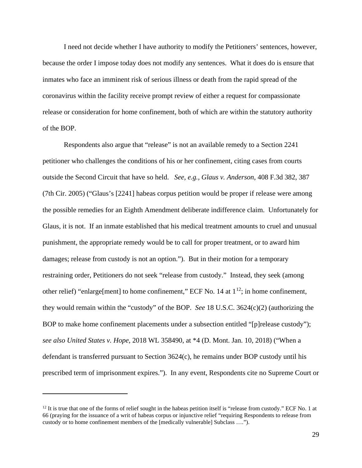I need not decide whether I have authority to modify the Petitioners' sentences, however, because the order I impose today does not modify any sentences. What it does do is ensure that inmates who face an imminent risk of serious illness or death from the rapid spread of the coronavirus within the facility receive prompt review of either a request for compassionate release or consideration for home confinement, both of which are within the statutory authority of the BOP.

Respondents also argue that "release" is not an available remedy to a Section 2241 petitioner who challenges the conditions of his or her confinement, citing cases from courts outside the Second Circuit that have so held. *See, e.g., Glaus v. Anderson*, 408 F.3d 382, 387 (7th Cir. 2005) ("Glaus's [2241] habeas corpus petition would be proper if release were among the possible remedies for an Eighth Amendment deliberate indifference claim. Unfortunately for Glaus, it is not. If an inmate established that his medical treatment amounts to cruel and unusual punishment, the appropriate remedy would be to call for proper treatment, or to award him damages; release from custody is not an option."). But in their motion for a temporary restraining order, Petitioners do not seek "release from custody." Instead, they seek (among other relief) "enlarge[ment] to home confinement," ECF No. 14 at  $1^{12}$ ; in home confinement, they would remain within the "custody" of the BOP. *See* 18 U.S.C. 3624(c)(2) (authorizing the BOP to make home confinement placements under a subsection entitled "[p]release custody"); *see also United States v. Hope*, 2018 WL 358490, at \*4 (D. Mont. Jan. 10, 2018) ("When a defendant is transferred pursuant to Section 3624(c), he remains under BOP custody until his prescribed term of imprisonment expires."). In any event, Respondents cite no Supreme Court or

<span id="page-28-0"></span> $12$  It is true that one of the forms of relief sought in the habeas petition itself is "release from custody." ECF No. 1 at 66 (praying for the issuance of a writ of habeas corpus or injunctive relief "requiring Respondents to release from custody or to home confinement members of the [medically vulnerable] Subclass ….").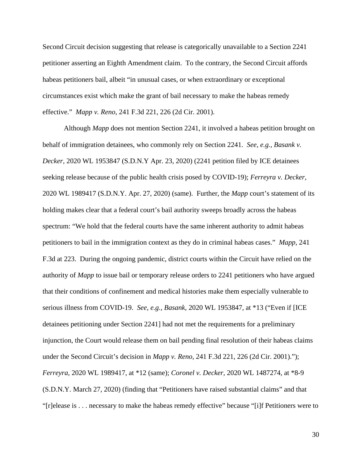Second Circuit decision suggesting that release is categorically unavailable to a Section 2241 petitioner asserting an Eighth Amendment claim. To the contrary, the Second Circuit affords habeas petitioners bail, albeit "in unusual cases, or when extraordinary or exceptional circumstances exist which make the grant of bail necessary to make the habeas remedy effective." *Mapp v. Reno*, 241 F.3d 221, 226 (2d Cir. 2001).

Although *Mapp* does not mention Section 2241, it involved a habeas petition brought on behalf of immigration detainees, who commonly rely on Section 2241. *See, e.g., Basank v. Decker*, 2020 WL 1953847 (S.D.N.Y Apr. 23, 2020) (2241 petition filed by ICE detainees seeking release because of the public health crisis posed by COVID-19); *Ferreyra v. Decker*, 2020 WL 1989417 (S.D.N.Y. Apr. 27, 2020) (same). Further, the *Mapp* court's statement of its holding makes clear that a federal court's bail authority sweeps broadly across the habeas spectrum: "We hold that the federal courts have the same inherent authority to admit habeas petitioners to bail in the immigration context as they do in criminal habeas cases." *Mapp*, 241 F.3d at 223. During the ongoing pandemic, district courts within the Circuit have relied on the authority of *Mapp* to issue bail or temporary release orders to 2241 petitioners who have argued that their conditions of confinement and medical histories make them especially vulnerable to serious illness from COVID-19. *See, e.g., Basank*, 2020 WL 1953847, at \*13 ("Even if [ICE detainees petitioning under Section 2241] had not met the requirements for a preliminary injunction, the Court would release them on bail pending final resolution of their habeas claims under the Second Circuit's decision in *Mapp v. Reno*, 241 F.3d 221, 226 (2d Cir. 2001)."); *Ferreyra*, 2020 WL 1989417, at \*12 (same); *Coronel v. Decker*, 2020 WL 1487274, at \*8-9 (S.D.N.Y. March 27, 2020) (finding that "Petitioners have raised substantial claims" and that "[r]elease is . . . necessary to make the habeas remedy effective" because "[i]f Petitioners were to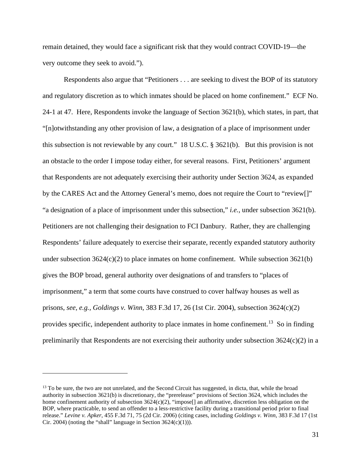remain detained, they would face a significant risk that they would contract COVID-19—the very outcome they seek to avoid.").

Respondents also argue that "Petitioners . . . are seeking to divest the BOP of its statutory and regulatory discretion as to which inmates should be placed on home confinement." ECF No. 24-1 at 47. Here, Respondents invoke the language of Section 3621(b), which states, in part, that "[n]otwithstanding any other provision of law, a designation of a place of imprisonment under this subsection is not reviewable by any court." 18 U.S.C. § 3621(b). But this provision is not an obstacle to the order I impose today either, for several reasons. First, Petitioners' argument that Respondents are not adequately exercising their authority under Section 3624, as expanded by the CARES Act and the Attorney General's memo, does not require the Court to "review[]" "a designation of a place of imprisonment under this subsection," *i.e.*, under subsection 3621(b). Petitioners are not challenging their designation to FCI Danbury. Rather, they are challenging Respondents' failure adequately to exercise their separate, recently expanded statutory authority under subsection  $3624(c)(2)$  to place inmates on home confinement. While subsection  $3621(b)$ gives the BOP broad, general authority over designations of and transfers to "places of imprisonment," a term that some courts have construed to cover halfway houses as well as prisons, *see, e.g., Goldings v. Winn*, 383 F.3d 17, 26 (1st Cir. 2004), subsection 3624(c)(2) provides specific, independent authority to place inmates in home confinement.<sup>[13](#page-30-0)</sup> So in finding preliminarily that Respondents are not exercising their authority under subsection  $3624(c)(2)$  in a

<span id="page-30-0"></span><sup>&</sup>lt;sup>13</sup> To be sure, the two are not unrelated, and the Second Circuit has suggested, in dicta, that, while the broad authority in subsection 3621(b) is discretionary, the "prerelease" provisions of Section 3624, which includes the home confinement authority of subsection 3624(c)(2), "impose[] an affirmative, discretion less obligation on the BOP, where practicable, to send an offender to a less-restrictive facility during a transitional period prior to final release." *Levine v. Apker*, 455 F.3d 71, 75 (2d Cir. 2006) (citing cases, including *Goldings v. Winn*, 383 F.3d 17 (1st Cir. 2004) (noting the "shall" language in Section  $3624(c)(1)$ ).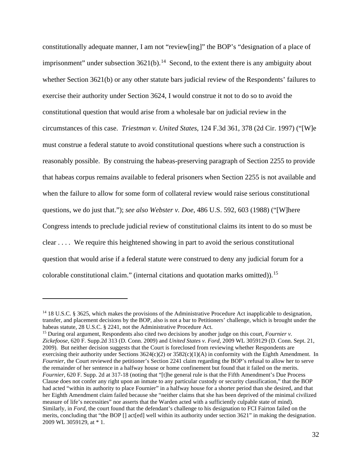constitutionally adequate manner, I am not "review[ing]" the BOP's "designation of a place of imprisonment" under subsection  $3621(b)$ .<sup>14</sup> Second, to the extent there is any ambiguity about whether Section 3621(b) or any other statute bars judicial review of the Respondents' failures to exercise their authority under Section 3624, I would construe it not to do so to avoid the constitutional question that would arise from a wholesale bar on judicial review in the circumstances of this case. *Triestman v. United States*, 124 F.3d 361, 378 (2d Cir. 1997) ("[W]e must construe a federal statute to avoid constitutional questions where such a construction is reasonably possible. By construing the habeas-preserving paragraph of Section 2255 to provide that habeas corpus remains available to federal prisoners when Section 2255 is not available and when the failure to allow for some form of collateral review would raise serious constitutional questions, we do just that."); *see also Webster v. Doe*, 486 U.S. 592, 603 (1988) ("[W]here Congress intends to preclude judicial review of constitutional claims its intent to do so must be clear . . . . We require this heightened showing in part to avoid the serious constitutional question that would arise if a federal statute were construed to deny any judicial forum for a colorable constitutional claim." (internal citations and quotation marks omitted)).[15](#page-31-1)

<span id="page-31-1"></span><sup>15</sup> During oral argument, Respondents also cited two decisions by another judge on this court, *Fournier v. Zickefoose*, 620 F. Supp.2d 313 (D. Conn. 2009) and *United States v. Ford*, 2009 WL 3059129 (D. Conn. Sept. 21, 2009). But neither decision suggests that the Court is foreclosed from reviewing whether Respondents are exercising their authority under Sections  $3624(c)(2)$  or  $3582(c)(1)(A)$  in conformity with the Eighth Amendment. In *Fournier*, the Court reviewed the petitioner's Section 2241 claim regarding the BOP's refusal to allow her to serve the remainder of her sentence in a halfway house or home confinement but found that it failed on the merits. *Fournier*, 620 F. Supp. 2d at 317-18 (noting that "[t]he general rule is that the Fifth Amendment's Due Process Clause does not confer any right upon an inmate to any particular custody or security classification," that the BOP had acted "within its authority to place Fournier" in a halfway house for a shorter period than she desired, and that her Eighth Amendment claim failed because she "neither claims that she has been deprived of the minimal civilized measure of life's necessities" nor asserts that the Warden acted with a sufficiently culpable state of mind). Similarly, in *Ford*, the court found that the defendant's challenge to his designation to FCI Fairton failed on the merits, concluding that "the BOP [] act[ed] well within its authority under section 3621" in making the designation. 2009 WL 3059129, at \* 1.

<span id="page-31-0"></span><sup>&</sup>lt;sup>14</sup> 18 U.S.C. § 3625, which makes the provisions of the Administrative Procedure Act inapplicable to designation, transfer, and placement decisions by the BOP, also is not a bar to Petitioners' challenge, which is brought under the habeas statute, 28 U.S.C. § 2241, not the Administrative Procedure Act.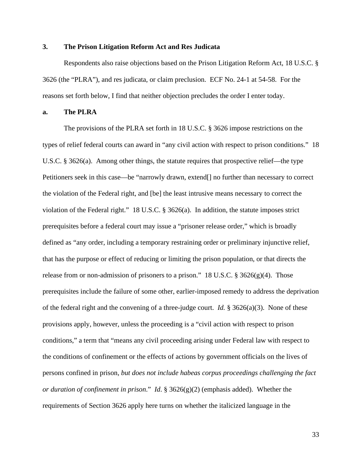# **3. The Prison Litigation Reform Act and Res Judicata**

Respondents also raise objections based on the Prison Litigation Reform Act, 18 U.S.C. § 3626 (the "PLRA"), and res judicata, or claim preclusion. ECF No. 24-1 at 54-58. For the reasons set forth below, I find that neither objection precludes the order I enter today.

# **a. The PLRA**

The provisions of the PLRA set forth in 18 U.S.C. § 3626 impose restrictions on the types of relief federal courts can award in "any civil action with respect to prison conditions." 18 U.S.C. § 3626(a). Among other things, the statute requires that prospective relief—the type Petitioners seek in this case—be "narrowly drawn, extend[] no further than necessary to correct the violation of the Federal right, and [be] the least intrusive means necessary to correct the violation of the Federal right." 18 U.S.C. § 3626(a). In addition, the statute imposes strict prerequisites before a federal court may issue a "prisoner release order," which is broadly defined as "any order, including a temporary restraining order or preliminary injunctive relief, that has the purpose or effect of reducing or limiting the prison population, or that directs the release from or non-admission of prisoners to a prison." 18 U.S.C.  $\S 3626(g)(4)$ . Those prerequisites include the failure of some other, earlier-imposed remedy to address the deprivation of the federal right and the convening of a three-judge court. *Id.* § 3626(a)(3). None of these provisions apply, however, unless the proceeding is a "civil action with respect to prison conditions," a term that "means any civil proceeding arising under Federal law with respect to the conditions of confinement or the effects of actions by government officials on the lives of persons confined in prison, *but does not include habeas corpus proceedings challenging the fact or duration of confinement in prison*." *Id*. § 3626(g)(2) (emphasis added). Whether the requirements of Section 3626 apply here turns on whether the italicized language in the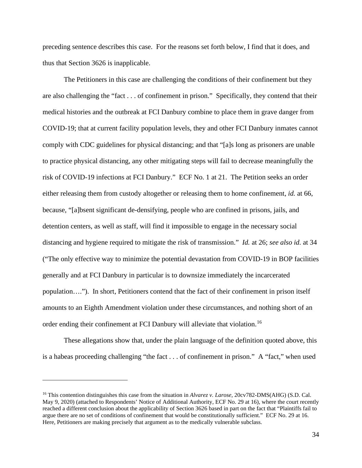preceding sentence describes this case. For the reasons set forth below, I find that it does, and thus that Section 3626 is inapplicable.

The Petitioners in this case are challenging the conditions of their confinement but they are also challenging the "fact . . . of confinement in prison." Specifically, they contend that their medical histories and the outbreak at FCI Danbury combine to place them in grave danger from COVID-19; that at current facility population levels, they and other FCI Danbury inmates cannot comply with CDC guidelines for physical distancing; and that "[a]s long as prisoners are unable to practice physical distancing, any other mitigating steps will fail to decrease meaningfully the risk of COVID-19 infections at FCI Danbury." ECF No. 1 at 21. The Petition seeks an order either releasing them from custody altogether or releasing them to home confinement, *id.* at 66, because, "[a]bsent significant de-densifying, people who are confined in prisons, jails, and detention centers, as well as staff, will find it impossible to engage in the necessary social distancing and hygiene required to mitigate the risk of transmission." *Id.* at 26; *see also id.* at 34 ("The only effective way to minimize the potential devastation from COVID-19 in BOP facilities generally and at FCI Danbury in particular is to downsize immediately the incarcerated population…."). In short, Petitioners contend that the fact of their confinement in prison itself amounts to an Eighth Amendment violation under these circumstances, and nothing short of an order ending their confinement at FCI Danbury will alleviate that violation.<sup>[16](#page-33-0)</sup>

These allegations show that, under the plain language of the definition quoted above, this is a habeas proceeding challenging "the fact . . . of confinement in prison." A "fact," when used

<span id="page-33-0"></span><sup>16</sup> This contention distinguishes this case from the situation in *Alvarez v. Larose*, 20cv782-DMS(AHG) (S.D. Cal. May 9, 2020) (attached to Respondents' Notice of Additional Authority, ECF No. 29 at 16), where the court recently reached a different conclusion about the applicability of Section 3626 based in part on the fact that "Plaintiffs fail to argue there are no set of conditions of confinement that would be constitutionally sufficient." ECF No. 29 at 16. Here, Petitioners are making precisely that argument as to the medically vulnerable subclass.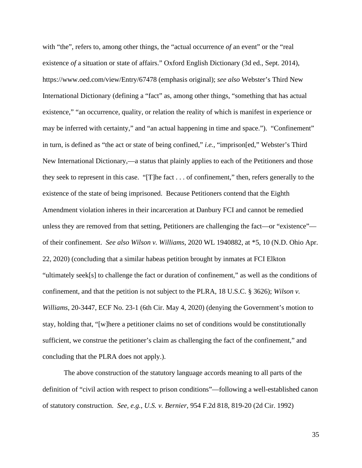with "the", refers to, among other things, the "actual occurrence *of* an event" or the "real existence *of* a situation or state of affairs." Oxford English Dictionary (3d ed., Sept. 2014), https://www.oed.com/view/Entry/67478 (emphasis original); *see also* Webster's Third New International Dictionary (defining a "fact" as, among other things, "something that has actual existence," "an occurrence, quality, or relation the reality of which is manifest in experience or may be inferred with certainty," and "an actual happening in time and space."). "Confinement" in turn, is defined as "the act or state of being confined," *i.e.*, "imprison[ed," Webster's Third New International Dictionary,—a status that plainly applies to each of the Petitioners and those they seek to represent in this case. "[T]he fact . . . of confinement," then, refers generally to the existence of the state of being imprisoned. Because Petitioners contend that the Eighth Amendment violation inheres in their incarceration at Danbury FCI and cannot be remedied unless they are removed from that setting, Petitioners are challenging the fact—or "existence" of their confinement. *See also Wilson v. Williams*, 2020 WL 1940882, at \*5, 10 (N.D. Ohio Apr. 22, 2020) (concluding that a similar habeas petition brought by inmates at FCI Elkton "ultimately seek[s] to challenge the fact or duration of confinement," as well as the conditions of confinement, and that the petition is not subject to the PLRA, 18 U.S.C. § 3626); *Wilson v. Williams*, 20-3447, ECF No. 23-1 (6th Cir. May 4, 2020) (denying the Government's motion to stay, holding that, "[w]here a petitioner claims no set of conditions would be constitutionally sufficient, we construe the petitioner's claim as challenging the fact of the confinement," and concluding that the PLRA does not apply.).

The above construction of the statutory language accords meaning to all parts of the definition of "civil action with respect to prison conditions"—following a well-established canon of statutory construction. *See, e.g.*, *U.S. v. Bernier*, 954 F.2d 818, 819-20 (2d Cir. 1992)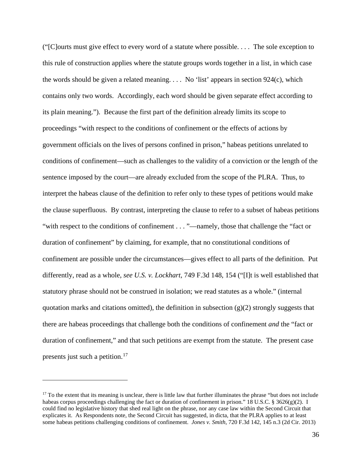("[C]ourts must give effect to every word of a statute where possible. . . . The sole exception to this rule of construction applies where the statute groups words together in a list, in which case the words should be given a related meaning.  $\ldots$  No 'list' appears in section 924(c), which contains only two words. Accordingly, each word should be given separate effect according to its plain meaning."). Because the first part of the definition already limits its scope to proceedings "with respect to the conditions of confinement or the effects of actions by government officials on the lives of persons confined in prison," habeas petitions unrelated to conditions of confinement—such as challenges to the validity of a conviction or the length of the sentence imposed by the court—are already excluded from the scope of the PLRA. Thus, to interpret the habeas clause of the definition to refer only to these types of petitions would make the clause superfluous. By contrast, interpreting the clause to refer to a subset of habeas petitions "with respect to the conditions of confinement . . . "—namely, those that challenge the "fact or duration of confinement" by claiming, for example, that no constitutional conditions of confinement are possible under the circumstances—gives effect to all parts of the definition. Put differently, read as a whole, *see U.S. v. Lockhart*, 749 F.3d 148, 154 ("[I]t is well established that statutory phrase should not be construed in isolation; we read statutes as a whole." (internal quotation marks and citations omitted), the definition in subsection  $(g)(2)$  strongly suggests that there are habeas proceedings that challenge both the conditions of confinement *and* the "fact or duration of confinement," and that such petitions are exempt from the statute. The present case presents just such a petition.<sup>[17](#page-35-0)</sup>

<span id="page-35-0"></span> $17$  To the extent that its meaning is unclear, there is little law that further illuminates the phrase "but does not include" habeas corpus proceedings challenging the fact or duration of confinement in prison." 18 U.S.C. § 3626(g)(2). I could find no legislative history that shed real light on the phrase, nor any case law within the Second Circuit that explicates it. As Respondents note, the Second Circuit has suggested, in dicta, that the PLRA applies to at least some habeas petitions challenging conditions of confinement. *Jones v. Smith*, 720 F.3d 142, 145 n.3 (2d Cir. 2013)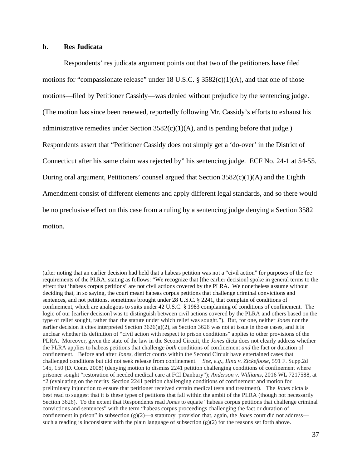### **b. Res Judicata**

Respondents' res judicata argument points out that two of the petitioners have filed motions for "compassionate release" under 18 U.S.C. § 3582(c)(1)(A), and that one of those motions—filed by Petitioner Cassidy—was denied without prejudice by the sentencing judge. (The motion has since been renewed, reportedly following Mr. Cassidy's efforts to exhaust his administrative remedies under Section  $3582(c)(1)(A)$ , and is pending before that judge.) Respondents assert that "Petitioner Cassidy does not simply get a 'do-over' in the District of Connecticut after his same claim was rejected by" his sentencing judge. ECF No. 24-1 at 54-55. During oral argument, Petitioners' counsel argued that Section  $3582(c)(1)(A)$  and the Eighth Amendment consist of different elements and apply different legal standards, and so there would be no preclusive effect on this case from a ruling by a sentencing judge denying a Section 3582 motion.

<sup>(</sup>after noting that an earlier decision had held that a habeas petition was not a "civil action" for purposes of the fee requirements of the PLRA, stating as follows: "We recognize that [the earlier decision] spoke in general terms to the effect that 'habeas corpus petitions' are not civil actions covered by the PLRA. We nonetheless assume without deciding that, in so saying, the court meant habeas corpus petitions that challenge criminal convictions and sentences, and not petitions, sometimes brought under 28 U.S.C. § 2241, that complain of conditions of confinement, which are analogous to suits under 42 U.S.C. § 1983 complaining of conditions of confinement. The logic of our [earlier decision] was to distinguish between civil actions covered by the PLRA and others based on the type of relief sought, rather than the statute under which relief was sought."). But, for one, neither *Jones* nor the earlier decision it cites interpreted Section  $3626(g)(2)$ , as Section 3626 was not at issue in those cases, and it is unclear whether its definition of "civil action with respect to prison conditions" applies to other provisions of the PLRA. Moreover, given the state of the law in the Second Circuit, the *Jones* dicta does not clearly address whether the PLRA applies to habeas petitions that challenge *both* conditions of confinement *and* the fact or duration of confinement. Before and after *Jones*, district courts within the Second Circuit have entertained cases that challenged conditions but did not seek release from confinement. *See, e.g.*, *Ilina v. Zickefoose*, 591 F. Supp.2d 145, 150 (D. Conn. 2008) (denying motion to dismiss 2241 petition challenging conditions of confinement where prisoner sought "restoration of needed medical care at FCI Danbury"); *Anderson v. Williams*, 2016 WL 7217588, at \*2 (evaluating on the merits Section 2241 petition challenging conditions of confinement and motion for preliminary injunction to ensure that petitioner received certain medical tests and treatment). The *Jones* dicta is best read to suggest that it is these types of petitions that fall within the ambit of the PLRA (though not necessarily Section 3626). To the extent that Respondents read *Jones* to equate "habeas corpus petitions that challenge criminal convictions and sentences" with the term "habeas corpus proceedings challenging the fact or duration of confinement in prison" in subsection (g)(2)—a statutory provision that, again, the *Jones* court did not address such a reading is inconsistent with the plain language of subsection  $(g)(2)$  for the reasons set forth above.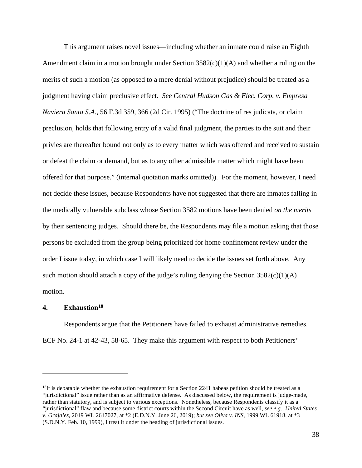This argument raises novel issues—including whether an inmate could raise an Eighth Amendment claim in a motion brought under Section  $3582(c)(1)(A)$  and whether a ruling on the merits of such a motion (as opposed to a mere denial without prejudice) should be treated as a judgment having claim preclusive effect. *See Central Hudson Gas & Elec. Corp. v. Empresa Naviera Santa S.A.*, 56 F.3d 359, 366 (2d Cir. 1995) ("The doctrine of res judicata, or claim preclusion, holds that following entry of a valid final judgment, the parties to the suit and their privies are thereafter bound not only as to every matter which was offered and received to sustain or defeat the claim or demand, but as to any other admissible matter which might have been offered for that purpose." (internal quotation marks omitted)). For the moment, however, I need not decide these issues, because Respondents have not suggested that there are inmates falling in the medically vulnerable subclass whose Section 3582 motions have been denied *on the merits* by their sentencing judges. Should there be, the Respondents may file a motion asking that those persons be excluded from the group being prioritized for home confinement review under the order I issue today, in which case I will likely need to decide the issues set forth above. Any such motion should attach a copy of the judge's ruling denying the Section  $3582(c)(1)(A)$ motion.

# **4. Exhaustion[18](#page-37-0)**

Respondents argue that the Petitioners have failed to exhaust administrative remedies. ECF No. 24-1 at 42-43, 58-65. They make this argument with respect to both Petitioners'

<span id="page-37-0"></span> $^{18}$ It is debatable whether the exhaustion requirement for a Section 2241 habeas petition should be treated as a "jurisdictional" issue rather than as an affirmative defense. As discussed below, the requirement is judge-made, rather than statutory, and is subject to various exceptions. Nonetheless, because Respondents classify it as a "jurisdictional" flaw and because some district courts within the Second Circuit have as well*, see e.g.*, *United States v. Grajales*, 2019 WL 2617027, at \*2 (E.D.N.Y. June 26, 2019); *but see Oliva v. INS*, 1999 WL 61918, at \*3 (S.D.N.Y. Feb. 10, 1999), I treat it under the heading of jurisdictional issues.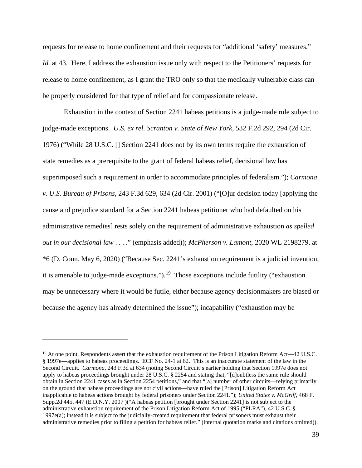requests for release to home confinement and their requests for "additional 'safety' measures." *Id.* at 43. Here, I address the exhaustion issue only with respect to the Petitioners' requests for release to home confinement, as I grant the TRO only so that the medically vulnerable class can be properly considered for that type of relief and for compassionate release.

Exhaustion in the context of Section 2241 habeas petitions is a judge-made rule subject to judge-made exceptions. *U.S. ex rel. Scranton v. State of New York*, 532 F.2d 292, 294 (2d Cir. 1976) ("While 28 U.S.C. [] Section 2241 does not by its own terms require the exhaustion of state remedies as a prerequisite to the grant of federal habeas relief, decisional law has superimposed such a requirement in order to accommodate principles of federalism."); *Carmona v. U.S. Bureau of Prisons*, 243 F.3d 629, 634 (2d Cir. 2001) ("[O]ur decision today [applying the cause and prejudice standard for a Section 2241 habeas petitioner who had defaulted on his administrative remedies] rests solely on the requirement of administrative exhaustion *as spelled out in our decisional law* . . . ." (emphasis added)); *McPherson v. Lamont*, 2020 WL 2198279, at \*6 (D. Conn. May 6, 2020) ("Because Sec. 2241's exhaustion requirement is a judicial invention, it is amenable to judge-made exceptions.").<sup>19</sup> Those exceptions include futility ("exhaustion may be unnecessary where it would be futile, either because agency decisionmakers are biased or because the agency has already determined the issue"); incapability ("exhaustion may be

<span id="page-38-0"></span><sup>&</sup>lt;sup>19</sup> At one point, Respondents assert that the exhaustion requirement of the Prison Litigation Reform Act—42 U.S.C. § 1997e—applies to habeas proceedings. ECF No. 24-1 at 62. This is an inaccurate statement of the law in the Second Circuit. *Carmona*, 243 F.3d at 634 (noting Second Circuit's earlier holding that Section 1997e does not apply to habeas proceedings brought under 28 U.S.C. § 2254 and stating that, "[d]oubtless the same rule should obtain in Section 2241 cases as in Section 2254 petitions," and that "[a] number of other circuits—relying primarily on the ground that habeas proceedings are not civil actions—have ruled the [Prison] Litigation Reform Act inapplicable to habeas actions brought by federal prisoners under Section 2241."); *United States v. McGriff*, 468 F. Supp.2d 445, 447 (E.D.N.Y. 2007 )("A habeas petition [brought under Section 2241] is not subject to the administrative exhaustion requirement of the Prison Litigation Reform Act of 1995 ("PLRA"), 42 U.S.C. §  $1997e(a)$ ; instead it is subject to the judicially-created requirement that federal prisoners must exhaust their administrative remedies prior to filing a petition for habeas relief." (internal quotation marks and citations omitted)).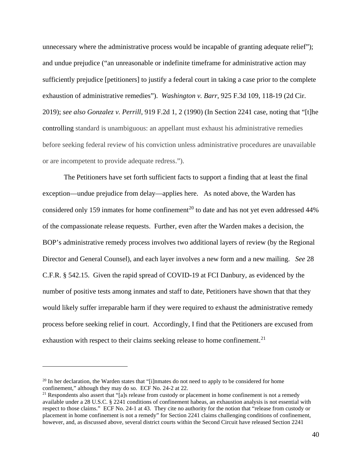unnecessary where the administrative process would be incapable of granting adequate relief"); and undue prejudice ("an unreasonable or indefinite timeframe for administrative action may sufficiently prejudice [petitioners] to justify a federal court in taking a case prior to the complete exhaustion of administrative remedies"). *Washington v. Barr*, 925 F.3d 109, 118-19 (2d Cir. 2019); *see also Gonzalez v. Perrill*, 919 F.2d 1, 2 (1990) (In Section 2241 case, noting that "[t]he controlling standard is unambiguous: an appellant must exhaust his administrative remedies before seeking federal review of his conviction unless administrative procedures are unavailable or are incompetent to provide adequate redress.").

The Petitioners have set forth sufficient facts to support a finding that at least the final exception—undue prejudice from delay—applies here. As noted above, the Warden has considered only 159 inmates for home confinement<sup>[20](#page-39-0)</sup> to date and has not yet even addressed  $44\%$ of the compassionate release requests. Further, even after the Warden makes a decision, the BOP's administrative remedy process involves two additional layers of review (by the Regional Director and General Counsel), and each layer involves a new form and a new mailing. *See* 28 C.F.R. § 542.15. Given the rapid spread of COVID-19 at FCI Danbury, as evidenced by the number of positive tests among inmates and staff to date, Petitioners have shown that that they would likely suffer irreparable harm if they were required to exhaust the administrative remedy process before seeking relief in court. Accordingly, I find that the Petitioners are excused from exhaustion with respect to their claims seeking release to home confinement.<sup>[21](#page-39-1)</sup>

<span id="page-39-0"></span><sup>20</sup> In her declaration, the Warden states that "[i]nmates do not need to apply to be considered for home confinement," although they may do so. ECF No. 24-2 at 22.

<span id="page-39-1"></span> $21$  Respondents also assert that "[a]s release from custody or placement in home confinement is not a remedy available under a 28 U.S.C. § 2241 conditions of confinement habeas, an exhaustion analysis is not essential with respect to those claims." ECF No. 24-1 at 43. They cite no authority for the notion that "release from custody or placement in home confinement is not a remedy" for Section 2241 claims challenging conditions of confinement, however, and, as discussed above, several district courts within the Second Circuit have released Section 2241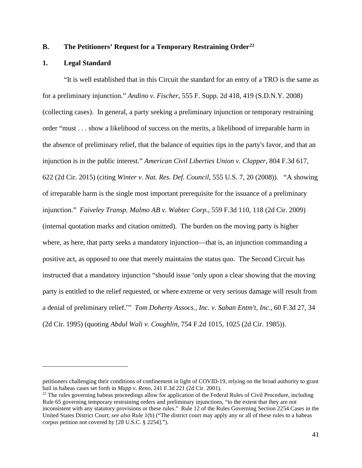## **B. The Petitioners' Request for a Temporary Restraining Order[22](#page-40-0)**

#### **1. Legal Standard**

"It is well established that in this Circuit the standard for an entry of a TRO is the same as for a preliminary injunction." *Andino v. Fischer*, 555 F. Supp. 2d 418, 419 (S.D.N.Y. 2008) (collecting cases). In general, a party seeking a preliminary injunction or temporary restraining order "must . . . show a likelihood of success on the merits, a likelihood of irreparable harm in the absence of preliminary relief, that the balance of equities tips in the party's favor, and that an injunction is in the public interest." *American Civil Liberties Union v. Clapper*, 804 F.3d 617, 622 (2d Cir. 2015) (citing *Winter v. Nat. Res. Def. Council*, 555 U.S. 7, 20 (2008)). "A showing of irreparable harm is the single most important prerequisite for the issuance of a preliminary injunction." *Faiveley Transp. Malmo AB v. Wabtec Corp.*, 559 F.3d 110, 118 (2d Cir. 2009) (internal quotation marks and citation omitted). The burden on the moving party is higher where, as here, that party seeks a mandatory injunction—that is, an injunction commanding a positive act, as opposed to one that merely maintains the status quo. The Second Circuit has instructed that a mandatory injunction "should issue 'only upon a clear showing that the moving party is entitled to the relief requested, or where extreme or very serious damage will result from a denial of preliminary relief.'" *Tom Doherty Assocs., Inc. v. Saban Entm't, Inc.*, 60 F.3d 27, 34 (2d Cir. 1995) (quoting *Abdul Wali v. Coughlin*, 754 F.2d 1015, 1025 (2d Cir. 1985)).

petitioners challenging their conditions of confinement in light of COVID-19, relying on the broad authority to grant bail in habeas cases set forth in *Mapp v. Reno*, 241 F.3d 221 (2d Cir. 2001).

<span id="page-40-0"></span><sup>&</sup>lt;sup>22</sup> The rules governing habeas proceedings allow for application of the Federal Rules of Civil Procedure, including Rule 65 governing temporary restraining orders and preliminary injunctions, "to the extent that they are not inconsistent with any statutory provisions or these rules." Rule 12 of the Rules Governing Section 2254 Cases in the United States District Court; *see also* Rule 1(b) ("The district court may apply any or all of these rules to a habeas corpus petition not covered by [28 U.S.C. § 2254].").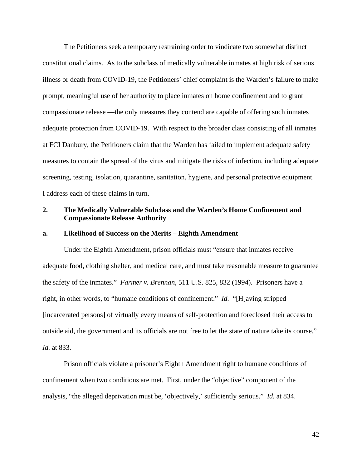The Petitioners seek a temporary restraining order to vindicate two somewhat distinct constitutional claims. As to the subclass of medically vulnerable inmates at high risk of serious illness or death from COVID-19, the Petitioners' chief complaint is the Warden's failure to make prompt, meaningful use of her authority to place inmates on home confinement and to grant compassionate release —the only measures they contend are capable of offering such inmates adequate protection from COVID-19. With respect to the broader class consisting of all inmates at FCI Danbury, the Petitioners claim that the Warden has failed to implement adequate safety measures to contain the spread of the virus and mitigate the risks of infection, including adequate screening, testing, isolation, quarantine, sanitation, hygiene, and personal protective equipment. I address each of these claims in turn.

# **2. The Medically Vulnerable Subclass and the Warden's Home Confinement and Compassionate Release Authority**

### **a. Likelihood of Success on the Merits – Eighth Amendment**

Under the Eighth Amendment, prison officials must "ensure that inmates receive adequate food, clothing shelter, and medical care, and must take reasonable measure to guarantee the safety of the inmates." *Farmer v. Brennan*, 511 U.S. 825, 832 (1994). Prisoners have a right, in other words, to "humane conditions of confinement." *Id.* "[H]aving stripped [incarcerated persons] of virtually every means of self-protection and foreclosed their access to outside aid, the government and its officials are not free to let the state of nature take its course." *Id.* at 833.

Prison officials violate a prisoner's Eighth Amendment right to humane conditions of confinement when two conditions are met. First, under the "objective" component of the analysis, "the alleged deprivation must be, 'objectively,' sufficiently serious." *Id.* at 834.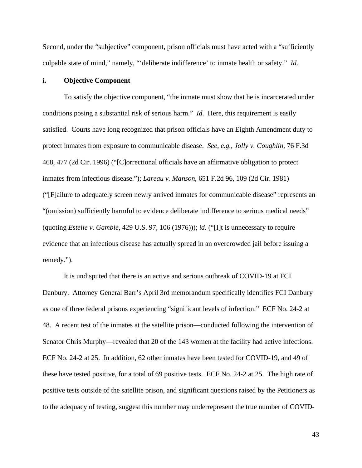Second, under the "subjective" component, prison officials must have acted with a "sufficiently culpable state of mind," namely, "'deliberate indifference' to inmate health or safety." *Id.*

### **i. Objective Component**

To satisfy the objective component, "the inmate must show that he is incarcerated under conditions posing a substantial risk of serious harm." *Id.* Here, this requirement is easily satisfied. Courts have long recognized that prison officials have an Eighth Amendment duty to protect inmates from exposure to communicable disease. *See, e.g.*, *Jolly v. Coughlin*, 76 F.3d 468, 477 (2d Cir. 1996) ("[C]orrectional officials have an affirmative obligation to protect inmates from infectious disease."); *Lareau v. Manson*, 651 F.2d 96, 109 (2d Cir. 1981) ("[F]ailure to adequately screen newly arrived inmates for communicable disease" represents an "(omission) sufficiently harmful to evidence deliberate indifference to serious medical needs" (quoting *Estelle v. Gamble*, 429 U.S. 97, 106 (1976))); *id.* ("[I]t is unnecessary to require evidence that an infectious disease has actually spread in an overcrowded jail before issuing a remedy.").

It is undisputed that there is an active and serious outbreak of COVID-19 at FCI Danbury. Attorney General Barr's April 3rd memorandum specifically identifies FCI Danbury as one of three federal prisons experiencing "significant levels of infection." ECF No. 24-2 at 48. A recent test of the inmates at the satellite prison—conducted following the intervention of Senator Chris Murphy—revealed that 20 of the 143 women at the facility had active infections. ECF No. 24-2 at 25. In addition, 62 other inmates have been tested for COVID-19, and 49 of these have tested positive, for a total of 69 positive tests. ECF No. 24-2 at 25. The high rate of positive tests outside of the satellite prison, and significant questions raised by the Petitioners as to the adequacy of testing, suggest this number may underrepresent the true number of COVID-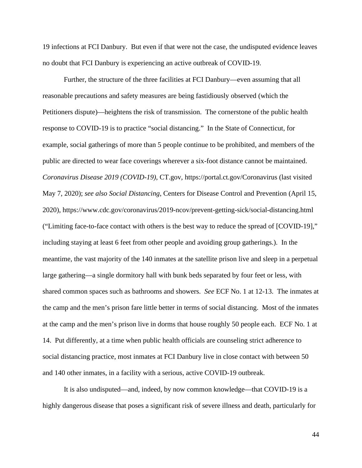19 infections at FCI Danbury. But even if that were not the case, the undisputed evidence leaves no doubt that FCI Danbury is experiencing an active outbreak of COVID-19.

Further, the structure of the three facilities at FCI Danbury—even assuming that all reasonable precautions and safety measures are being fastidiously observed (which the Petitioners dispute)—heightens the risk of transmission. The cornerstone of the public health response to COVID-19 is to practice "social distancing." In the State of Connecticut, for example, social gatherings of more than 5 people continue to be prohibited, and members of the public are directed to wear face coverings wherever a six-foot distance cannot be maintained. *Coronavirus Disease 2019 (COVID-19)*, CT.gov, https://portal.ct.gov/Coronavirus (last visited May 7, 2020); *see also Social Distancing*, Centers for Disease Control and Prevention (April 15, 2020), https://www.cdc.gov/coronavirus/2019-ncov/prevent-getting-sick/social-distancing.html ("Limiting face-to-face contact with others is the best way to reduce the spread of [COVID-19]," including staying at least 6 feet from other people and avoiding group gatherings.). In the meantime, the vast majority of the 140 inmates at the satellite prison live and sleep in a perpetual large gathering—a single dormitory hall with bunk beds separated by four feet or less, with shared common spaces such as bathrooms and showers. *See* ECF No. 1 at 12-13. The inmates at the camp and the men's prison fare little better in terms of social distancing. Most of the inmates at the camp and the men's prison live in dorms that house roughly 50 people each. ECF No. 1 at 14. Put differently, at a time when public health officials are counseling strict adherence to social distancing practice, most inmates at FCI Danbury live in close contact with between 50 and 140 other inmates, in a facility with a serious, active COVID-19 outbreak.

It is also undisputed—and, indeed, by now common knowledge—that COVID-19 is a highly dangerous disease that poses a significant risk of severe illness and death, particularly for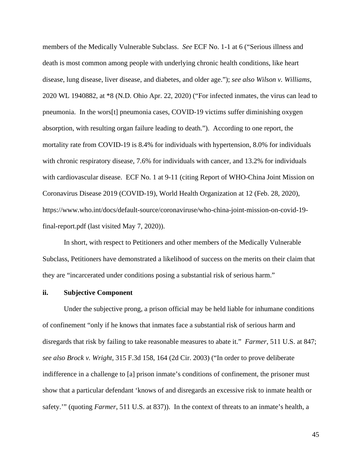members of the Medically Vulnerable Subclass. *See* ECF No. 1-1 at 6 ("Serious illness and death is most common among people with underlying chronic health conditions, like heart disease, lung disease, liver disease, and diabetes, and older age."); *see also Wilson v. Williams*, 2020 WL 1940882, at \*8 (N.D. Ohio Apr. 22, 2020) ("For infected inmates, the virus can lead to pneumonia. In the wors[t] pneumonia cases, COVID-19 victims suffer diminishing oxygen absorption, with resulting organ failure leading to death."). According to one report, the mortality rate from COVID-19 is 8.4% for individuals with hypertension, 8.0% for individuals with chronic respiratory disease, 7.6% for individuals with cancer, and 13.2% for individuals with cardiovascular disease. ECF No. 1 at 9-11 (citing Report of WHO-China Joint Mission on Coronavirus Disease 2019 (COVID-19), World Health Organization at 12 (Feb. 28, 2020), https://www.who.int/docs/default-source/coronaviruse/who-china-joint-mission-on-covid-19 final-report.pdf (last visited May 7, 2020)).

In short, with respect to Petitioners and other members of the Medically Vulnerable Subclass, Petitioners have demonstrated a likelihood of success on the merits on their claim that they are "incarcerated under conditions posing a substantial risk of serious harm."

## **ii. Subjective Component**

Under the subjective prong, a prison official may be held liable for inhumane conditions of confinement "only if he knows that inmates face a substantial risk of serious harm and disregards that risk by failing to take reasonable measures to abate it." *Farmer*, 511 U.S. at 847; *see also Brock v. Wright*, 315 F.3d 158, 164 (2d Cir. 2003) ("In order to prove deliberate indifference in a challenge to [a] prison inmate's conditions of confinement, the prisoner must show that a particular defendant 'knows of and disregards an excessive risk to inmate health or safety.'" (quoting *Farmer*, 511 U.S. at 837)). In the context of threats to an inmate's health, a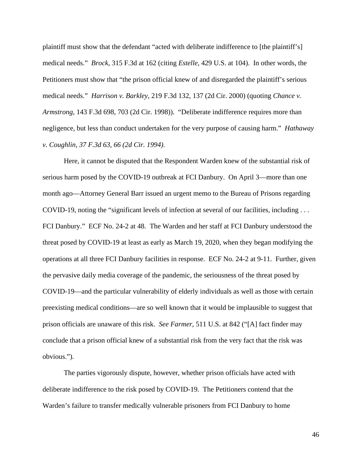plaintiff must show that the defendant "acted with deliberate indifference to [the plaintiff's] medical needs." *Brock*, 315 F.3d at 162 (citing *Estelle*, 429 U.S. at 104). In other words, the Petitioners must show that "the prison official knew of and disregarded the plaintiff's serious medical needs." *Harrison v. Barkley*, 219 F.3d 132, 137 (2d Cir. 2000) (quoting *Chance v. Armstrong*, 143 F.3d 698, 703 (2d Cir. 1998)). "Deliberate indifference requires more than negligence, but less than conduct undertaken for the very purpose of causing harm." *Hathaway v. Coughlin, 37 F.3d 63, 66 (2d Cir. 1994).* 

Here, it cannot be disputed that the Respondent Warden knew of the substantial risk of serious harm posed by the COVID-19 outbreak at FCI Danbury. On April 3—more than one month ago—Attorney General Barr issued an urgent memo to the Bureau of Prisons regarding COVID-19, noting the "significant levels of infection at several of our facilities, including . . . FCI Danbury." ECF No. 24-2 at 48. The Warden and her staff at FCI Danbury understood the threat posed by COVID-19 at least as early as March 19, 2020, when they began modifying the operations at all three FCI Danbury facilities in response. ECF No. 24-2 at 9-11. Further, given the pervasive daily media coverage of the pandemic, the seriousness of the threat posed by COVID-19—and the particular vulnerability of elderly individuals as well as those with certain preexisting medical conditions—are so well known that it would be implausible to suggest that prison officials are unaware of this risk. *See Farmer*, 511 U.S. at 842 ("[A] fact finder may conclude that a prison official knew of a substantial risk from the very fact that the risk was obvious.").

The parties vigorously dispute, however, whether prison officials have acted with deliberate indifference to the risk posed by COVID-19. The Petitioners contend that the Warden's failure to transfer medically vulnerable prisoners from FCI Danbury to home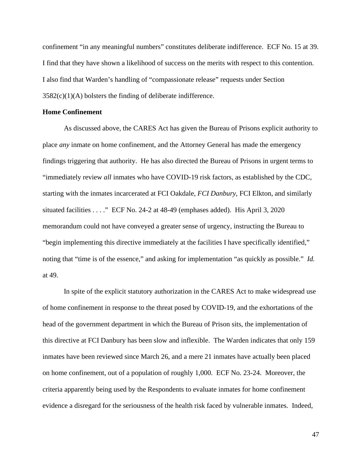confinement "in any meaningful numbers" constitutes deliberate indifference. ECF No. 15 at 39. I find that they have shown a likelihood of success on the merits with respect to this contention. I also find that Warden's handling of "compassionate release" requests under Section  $3582(c)(1)(A)$  bolsters the finding of deliberate indifference.

### **Home Confinement**

As discussed above, the CARES Act has given the Bureau of Prisons explicit authority to place *any* inmate on home confinement, and the Attorney General has made the emergency findings triggering that authority. He has also directed the Bureau of Prisons in urgent terms to "immediately review *all* inmates who have COVID-19 risk factors, as established by the CDC, starting with the inmates incarcerated at FCI Oakdale, *FCI Danbury*, FCI Elkton, and similarly situated facilities . . . ." ECF No. 24-2 at 48-49 (emphases added). His April 3, 2020 memorandum could not have conveyed a greater sense of urgency, instructing the Bureau to "begin implementing this directive immediately at the facilities I have specifically identified," noting that "time is of the essence," and asking for implementation "as quickly as possible." *Id.* at 49.

In spite of the explicit statutory authorization in the CARES Act to make widespread use of home confinement in response to the threat posed by COVID-19, and the exhortations of the head of the government department in which the Bureau of Prison sits, the implementation of this directive at FCI Danbury has been slow and inflexible. The Warden indicates that only 159 inmates have been reviewed since March 26, and a mere 21 inmates have actually been placed on home confinement, out of a population of roughly 1,000. ECF No. 23-24. Moreover, the criteria apparently being used by the Respondents to evaluate inmates for home confinement evidence a disregard for the seriousness of the health risk faced by vulnerable inmates. Indeed,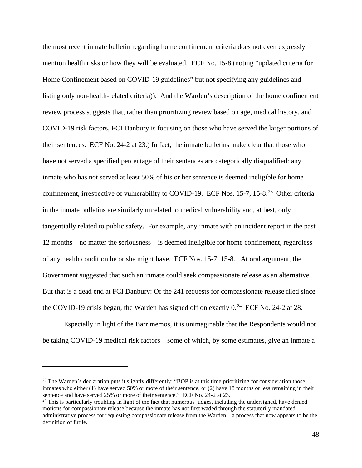the most recent inmate bulletin regarding home confinement criteria does not even expressly mention health risks or how they will be evaluated. ECF No. 15-8 (noting "updated criteria for Home Confinement based on COVID-19 guidelines" but not specifying any guidelines and listing only non-health-related criteria)). And the Warden's description of the home confinement review process suggests that, rather than prioritizing review based on age, medical history, and COVID-19 risk factors, FCI Danbury is focusing on those who have served the larger portions of their sentences. ECF No. 24-2 at 23.) In fact, the inmate bulletins make clear that those who have not served a specified percentage of their sentences are categorically disqualified: any inmate who has not served at least 50% of his or her sentence is deemed ineligible for home confinement, irrespective of vulnerability to COVID-19. ECF Nos. 15-7, 15-8.<sup>23</sup> Other criteria in the inmate bulletins are similarly unrelated to medical vulnerability and, at best, only tangentially related to public safety. For example, any inmate with an incident report in the past 12 months—no matter the seriousness—is deemed ineligible for home confinement, regardless of any health condition he or she might have. ECF Nos. 15-7, 15-8. At oral argument, the Government suggested that such an inmate could seek compassionate release as an alternative. But that is a dead end at FCI Danbury: Of the 241 requests for compassionate release filed since the COVID-19 crisis began, the Warden has signed off on exactly  $0.^{24}$  ECF No. 24-2 at 28.

Especially in light of the Barr memos, it is unimaginable that the Respondents would not be taking COVID-19 medical risk factors—some of which, by some estimates, give an inmate a

<span id="page-47-0"></span><sup>&</sup>lt;sup>23</sup> The Warden's declaration puts it slightly differently: "BOP is at this time prioritizing for consideration those inmates who either (1) have served 50% or more of their sentence, or (2) have 18 months or less remaining in their sentence and have served 25% or more of their sentence." ECF No. 24-2 at 23.

<span id="page-47-1"></span> $24$  This is particularly troubling in light of the fact that numerous judges, including the undersigned, have denied motions for compassionate release because the inmate has not first waded through the statutorily mandated administrative process for requesting compassionate release from the Warden—a process that now appears to be the definition of futile.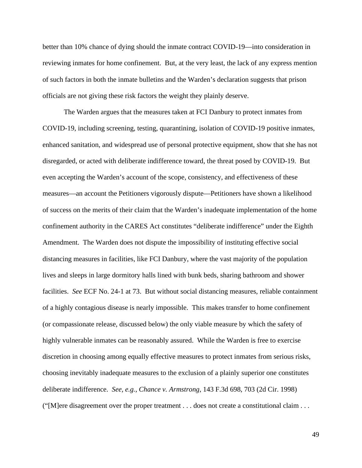better than 10% chance of dying should the inmate contract COVID-19—into consideration in reviewing inmates for home confinement. But, at the very least, the lack of any express mention of such factors in both the inmate bulletins and the Warden's declaration suggests that prison officials are not giving these risk factors the weight they plainly deserve.

The Warden argues that the measures taken at FCI Danbury to protect inmates from COVID-19, including screening, testing, quarantining, isolation of COVID-19 positive inmates, enhanced sanitation, and widespread use of personal protective equipment, show that she has not disregarded, or acted with deliberate indifference toward, the threat posed by COVID-19. But even accepting the Warden's account of the scope, consistency, and effectiveness of these measures—an account the Petitioners vigorously dispute—Petitioners have shown a likelihood of success on the merits of their claim that the Warden's inadequate implementation of the home confinement authority in the CARES Act constitutes "deliberate indifference" under the Eighth Amendment. The Warden does not dispute the impossibility of instituting effective social distancing measures in facilities, like FCI Danbury, where the vast majority of the population lives and sleeps in large dormitory halls lined with bunk beds, sharing bathroom and shower facilities. *See* ECF No. 24-1 at 73. But without social distancing measures, reliable containment of a highly contagious disease is nearly impossible. This makes transfer to home confinement (or compassionate release, discussed below) the only viable measure by which the safety of highly vulnerable inmates can be reasonably assured. While the Warden is free to exercise discretion in choosing among equally effective measures to protect inmates from serious risks, choosing inevitably inadequate measures to the exclusion of a plainly superior one constitutes deliberate indifference. *See, e.g.*, *Chance v. Armstrong*, 143 F.3d 698, 703 (2d Cir. 1998) ("[M]ere disagreement over the proper treatment . . . does not create a constitutional claim . . .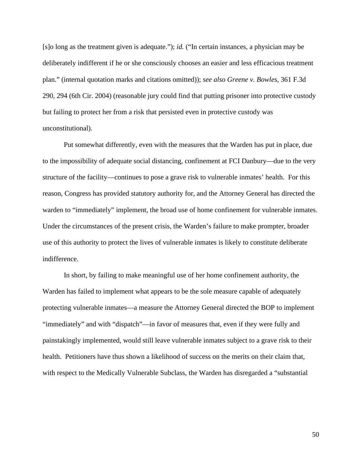[s]o long as the treatment given is adequate."); *id.* ("In certain instances, a physician may be deliberately indifferent if he or she consciously chooses an easier and less efficacious treatment plan." (internal quotation marks and citations omitted)); *see also Greene v. Bowles*, 361 F.3d 290, 294 (6th Cir. 2004) (reasonable jury could find that putting prisoner into protective custody but failing to protect her from a risk that persisted even in protective custody was unconstitutional).

Put somewhat differently, even with the measures that the Warden has put in place, due to the impossibility of adequate social distancing, confinement at FCI Danbury—due to the very structure of the facility—continues to pose a grave risk to vulnerable inmates' health. For this reason, Congress has provided statutory authority for, and the Attorney General has directed the warden to "immediately" implement, the broad use of home confinement for vulnerable inmates. Under the circumstances of the present crisis, the Warden's failure to make prompter, broader use of this authority to protect the lives of vulnerable inmates is likely to constitute deliberate indifference.

In short, by failing to make meaningful use of her home confinement authority, the Warden has failed to implement what appears to be the sole measure capable of adequately protecting vulnerable inmates—a measure the Attorney General directed the BOP to implement "immediately" and with "dispatch"—in favor of measures that, even if they were fully and painstakingly implemented, would still leave vulnerable inmates subject to a grave risk to their health. Petitioners have thus shown a likelihood of success on the merits on their claim that, with respect to the Medically Vulnerable Subclass, the Warden has disregarded a "substantial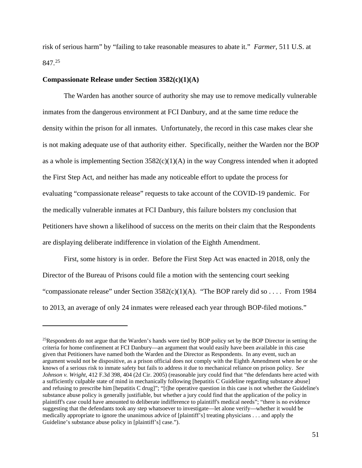risk of serious harm" by "failing to take reasonable measures to abate it." *Farmer*, 511 U.S. at 847. [25](#page-50-0)

#### **Compassionate Release under Section 3582(c)(1)(A)**

The Warden has another source of authority she may use to remove medically vulnerable inmates from the dangerous environment at FCI Danbury, and at the same time reduce the density within the prison for all inmates. Unfortunately, the record in this case makes clear she is not making adequate use of that authority either. Specifically, neither the Warden nor the BOP as a whole is implementing Section  $3582(c)(1)(A)$  in the way Congress intended when it adopted the First Step Act, and neither has made any noticeable effort to update the process for evaluating "compassionate release" requests to take account of the COVID-19 pandemic. For the medically vulnerable inmates at FCI Danbury, this failure bolsters my conclusion that Petitioners have shown a likelihood of success on the merits on their claim that the Respondents are displaying deliberate indifference in violation of the Eighth Amendment.

First, some history is in order. Before the First Step Act was enacted in 2018, only the Director of the Bureau of Prisons could file a motion with the sentencing court seeking "compassionate release" under Section  $3582(c)(1)(A)$ . "The BOP rarely did so . . . . From 1984 to 2013, an average of only 24 inmates were released each year through BOP-filed motions."

<span id="page-50-0"></span><sup>&</sup>lt;sup>25</sup>Respondents do not argue that the Warden's hands were tied by BOP policy set by the BOP Director in setting the criteria for home confinement at FCI Danbury—an argument that would easily have been available in this case given that Petitioners have named both the Warden and the Director as Respondents. In any event, such an argument would not be dispositive, as a prison official does not comply with the Eighth Amendment when he or she knows of a serious risk to inmate safety but fails to address it due to mechanical reliance on prison policy. *See Johnson v. Wright*, 412 F.3d 398, 404 (2d Cir. 2005) (reasonable jury could find that "the defendants here acted with a sufficiently culpable state of mind in mechanically following [hepatitis C Guideline regarding substance abuse] and refusing to prescribe him [hepatitis C drug]"; "[t]he operative question in this case is not whether the Guideline's substance abuse policy is generally justifiable, but whether a jury could find that the application of the policy in plaintiff's case could have amounted to deliberate indifference to plaintiff's medical needs"; "there is no evidence suggesting that the defendants took any step whatsoever to investigate—let alone verify—whether it would be medically appropriate to ignore the unanimous advice of [plaintiff's] treating physicians . . . and apply the Guideline's substance abuse policy in [plaintiff's] case.").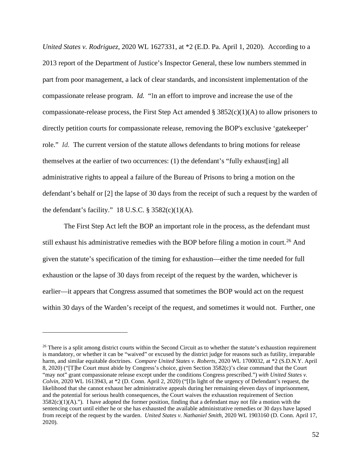*United States v. Rodriguez*, 2020 WL 1627331, at \*2 (E.D. Pa. April 1, 2020). According to a 2013 report of the Department of Justice's Inspector General, these low numbers stemmed in part from poor management, a lack of clear standards, and inconsistent implementation of the compassionate release program. *Id.* "In an effort to improve and increase the use of the compassionate-release process, the First Step Act amended  $\S 3852(c)(1)(A)$  to allow prisoners to directly petition courts for compassionate release, removing the BOP's exclusive 'gatekeeper' role." *Id.* The current version of the statute allows defendants to bring motions for release themselves at the earlier of two occurrences: (1) the defendant's "fully exhaust[ing] all administrative rights to appeal a failure of the Bureau of Prisons to bring a motion on the defendant's behalf or [2] the lapse of 30 days from the receipt of such a request by the warden of the defendant's facility." 18 U.S.C.  $\S$  3582(c)(1)(A).

The First Step Act left the BOP an important role in the process, as the defendant must still exhaust his administrative remedies with the BOP before filing a motion in court.<sup>[26](#page-51-0)</sup> And given the statute's specification of the timing for exhaustion—either the time needed for full exhaustion or the lapse of 30 days from receipt of the request by the warden, whichever is earlier—it appears that Congress assumed that sometimes the BOP would act on the request within 30 days of the Warden's receipt of the request, and sometimes it would not. Further, one

<span id="page-51-0"></span> $26$  There is a split among district courts within the Second Circuit as to whether the statute's exhaustion requirement is mandatory, or whether it can be "waived" or excused by the district judge for reasons such as futility, irreparable harm, and similar equitable doctrines. *Compare United States v. Roberts*, 2020 WL 1700032, at \*2 (S.D.N.Y. April 8, 2020) ("[T]he Court must abide by Congress's choice, given Section 3582(c)'s clear command that the Court "may not" grant compassionate release except under the conditions Congress prescribed.") *with United States v. Colvin*, 2020 WL 1613943, at \*2 (D. Conn. April 2, 2020) ("[I]n light of the urgency of Defendant's request, the likelihood that she cannot exhaust her administrative appeals during her remaining eleven days of imprisonment, and the potential for serious health consequences, the Court waives the exhaustion requirement of Section  $3582(c)(1)(A)$ ."). I have adopted the former position, finding that a defendant may not file a motion with the sentencing court until either he or she has exhausted the available administrative remedies or 30 days have lapsed from receipt of the request by the warden. *United States v. Nathaniel Smith*, 2020 WL 1903160 (D. Conn. April 17, 2020).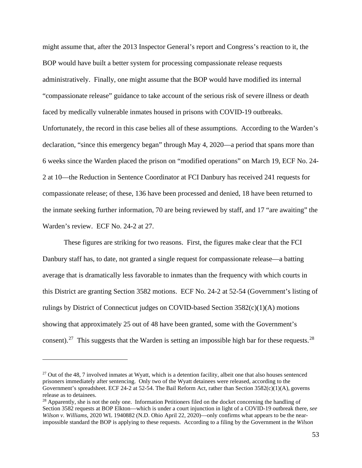might assume that, after the 2013 Inspector General's report and Congress's reaction to it, the BOP would have built a better system for processing compassionate release requests administratively. Finally, one might assume that the BOP would have modified its internal "compassionate release" guidance to take account of the serious risk of severe illness or death faced by medically vulnerable inmates housed in prisons with COVID-19 outbreaks. Unfortunately, the record in this case belies all of these assumptions. According to the Warden's declaration, "since this emergency began" through May 4, 2020—a period that spans more than 6 weeks since the Warden placed the prison on "modified operations" on March 19, ECF No. 24- 2 at 10—the Reduction in Sentence Coordinator at FCI Danbury has received 241 requests for compassionate release; of these, 136 have been processed and denied, 18 have been returned to the inmate seeking further information, 70 are being reviewed by staff, and 17 "are awaiting" the Warden's review. ECF No. 24-2 at 27.

These figures are striking for two reasons. First, the figures make clear that the FCI Danbury staff has, to date, not granted a single request for compassionate release—a batting average that is dramatically less favorable to inmates than the frequency with which courts in this District are granting Section 3582 motions. ECF No. 24-2 at 52-54 (Government's listing of rulings by District of Connecticut judges on COVID-based Section 3582(c)(1)(A) motions showing that approximately 25 out of 48 have been granted, some with the Government's consent).<sup>[27](#page-52-0)</sup> This suggests that the Warden is setting an impossible high bar for these requests.<sup>28</sup>

<span id="page-52-0"></span> $27$  Out of the 48, 7 involved inmates at Wyatt, which is a detention facility, albeit one that also houses sentenced prisoners immediately after sentencing. Only two of the Wyatt detainees were released, according to the Government's spreadsheet. ECF 24-2 at 52-54. The Bail Reform Act, rather than Section  $3582(c)(1)(A)$ , governs release as to detainees.

<span id="page-52-1"></span><sup>&</sup>lt;sup>28</sup> Apparently, she is not the only one. Information Petitioners filed on the docket concerning the handling of Section 3582 requests at BOP Elkton—which is under a court injunction in light of a COVID-19 outbreak there, *see Wilson v. Williams*, 2020 WL 1940882 (N.D. Ohio April 22, 2020)—only confirms what appears to be the nearimpossible standard the BOP is applying to these requests. According to a filing by the Government in the *Wilson*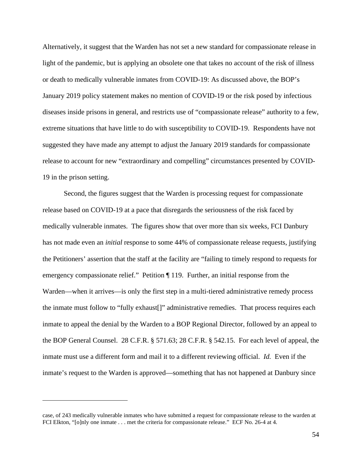Alternatively, it suggest that the Warden has not set a new standard for compassionate release in light of the pandemic, but is applying an obsolete one that takes no account of the risk of illness or death to medically vulnerable inmates from COVID-19: As discussed above, the BOP's January 2019 policy statement makes no mention of COVID-19 or the risk posed by infectious diseases inside prisons in general, and restricts use of "compassionate release" authority to a few, extreme situations that have little to do with susceptibility to COVID-19. Respondents have not suggested they have made any attempt to adjust the January 2019 standards for compassionate release to account for new "extraordinary and compelling" circumstances presented by COVID-19 in the prison setting.

Second, the figures suggest that the Warden is processing request for compassionate release based on COVID-19 at a pace that disregards the seriousness of the risk faced by medically vulnerable inmates. The figures show that over more than six weeks, FCI Danbury has not made even an *initial* response to some 44% of compassionate release requests, justifying the Petitioners' assertion that the staff at the facility are "failing to timely respond to requests for emergency compassionate relief." Petition ¶ 119. Further, an initial response from the Warden—when it arrives—is only the first step in a multi-tiered administrative remedy process the inmate must follow to "fully exhaust[]" administrative remedies. That process requires each inmate to appeal the denial by the Warden to a BOP Regional Director, followed by an appeal to the BOP General Counsel. 28 C.F.R. § 571.63; 28 C.F.R. § 542.15. For each level of appeal, the inmate must use a different form and mail it to a different reviewing official. *Id.* Even if the inmate's request to the Warden is approved—something that has not happened at Danbury since

case, of 243 medically vulnerable inmates who have submitted a request for compassionate release to the warden at FCI Elkton, "[o]nly one inmate . . . met the criteria for compassionate release." ECF No. 26-4 at 4.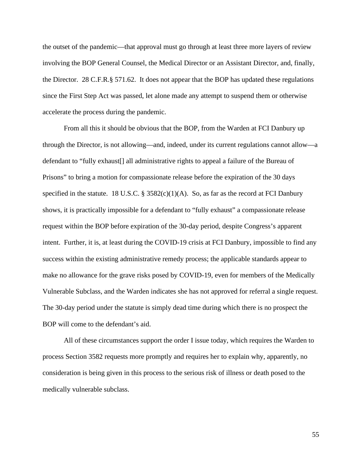the outset of the pandemic—that approval must go through at least three more layers of review involving the BOP General Counsel, the Medical Director or an Assistant Director, and, finally, the Director. 28 C.F.R.§ 571.62. It does not appear that the BOP has updated these regulations since the First Step Act was passed, let alone made any attempt to suspend them or otherwise accelerate the process during the pandemic.

From all this it should be obvious that the BOP, from the Warden at FCI Danbury up through the Director, is not allowing—and, indeed, under its current regulations cannot allow—a defendant to "fully exhaust[] all administrative rights to appeal a failure of the Bureau of Prisons" to bring a motion for compassionate release before the expiration of the 30 days specified in the statute. 18 U.S.C. §  $3582(c)(1)(A)$ . So, as far as the record at FCI Danbury shows, it is practically impossible for a defendant to "fully exhaust" a compassionate release request within the BOP before expiration of the 30-day period, despite Congress's apparent intent. Further, it is, at least during the COVID-19 crisis at FCI Danbury, impossible to find any success within the existing administrative remedy process; the applicable standards appear to make no allowance for the grave risks posed by COVID-19, even for members of the Medically Vulnerable Subclass, and the Warden indicates she has not approved for referral a single request. The 30-day period under the statute is simply dead time during which there is no prospect the BOP will come to the defendant's aid.

All of these circumstances support the order I issue today, which requires the Warden to process Section 3582 requests more promptly and requires her to explain why, apparently, no consideration is being given in this process to the serious risk of illness or death posed to the medically vulnerable subclass.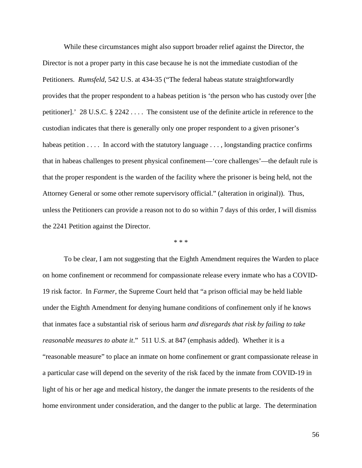While these circumstances might also support broader relief against the Director, the Director is not a proper party in this case because he is not the immediate custodian of the Petitioners. *Rumsfeld*, 542 U.S. at 434-35 ("The federal habeas statute straightforwardly provides that the proper respondent to a habeas petition is 'the person who has custody over [the petitioner].' 28 U.S.C. § 2242 . . . . The consistent use of the definite article in reference to the custodian indicates that there is generally only one proper respondent to a given prisoner's habeas petition . . . . In accord with the statutory language . . . , longstanding practice confirms that in habeas challenges to present physical confinement—'core challenges'—the default rule is that the proper respondent is the warden of the facility where the prisoner is being held, not the Attorney General or some other remote supervisory official." (alteration in original)). Thus, unless the Petitioners can provide a reason not to do so within 7 days of this order, I will dismiss the 2241 Petition against the Director.

\* \* \*

To be clear, I am not suggesting that the Eighth Amendment requires the Warden to place on home confinement or recommend for compassionate release every inmate who has a COVID-19 risk factor. In *Farmer*, the Supreme Court held that "a prison official may be held liable under the Eighth Amendment for denying humane conditions of confinement only if he knows that inmates face a substantial risk of serious harm *and disregards that risk by failing to take reasonable measures to abate it*." 511 U.S. at 847 (emphasis added). Whether it is a "reasonable measure" to place an inmate on home confinement or grant compassionate release in a particular case will depend on the severity of the risk faced by the inmate from COVID-19 in light of his or her age and medical history, the danger the inmate presents to the residents of the home environment under consideration, and the danger to the public at large. The determination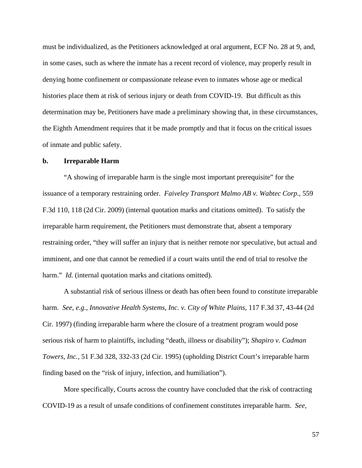must be individualized, as the Petitioners acknowledged at oral argument, ECF No. 28 at 9, and, in some cases, such as where the inmate has a recent record of violence, may properly result in denying home confinement or compassionate release even to inmates whose age or medical histories place them at risk of serious injury or death from COVID-19. But difficult as this determination may be, Petitioners have made a preliminary showing that, in these circumstances, the Eighth Amendment requires that it be made promptly and that it focus on the critical issues of inmate and public safety.

### **b. Irreparable Harm**

"A showing of irreparable harm is the single most important prerequisite" for the issuance of a temporary restraining order. *Faiveley Transport Malmo AB v. Wabtec Corp.*, 559 F.3d 110, 118 (2d Cir. 2009) (internal quotation marks and citations omitted). To satisfy the irreparable harm requirement, the Petitioners must demonstrate that, absent a temporary restraining order, "they will suffer an injury that is neither remote nor speculative, but actual and imminent, and one that cannot be remedied if a court waits until the end of trial to resolve the harm." *Id.* (internal quotation marks and citations omitted).

A substantial risk of serious illness or death has often been found to constitute irreparable harm. *See, e.g.*, *Innovative Health Systems, Inc. v. City of White Plains*, 117 F.3d 37, 43-44 (2d Cir. 1997) (finding irreparable harm where the closure of a treatment program would pose serious risk of harm to plaintiffs, including "death, illness or disability"); *Shapiro v. Cadman Towers, Inc.*, 51 F.3d 328, 332-33 (2d Cir. 1995) (upholding District Court's irreparable harm finding based on the "risk of injury, infection, and humiliation").

More specifically, Courts across the country have concluded that the risk of contracting COVID-19 as a result of unsafe conditions of confinement constitutes irreparable harm. *See,*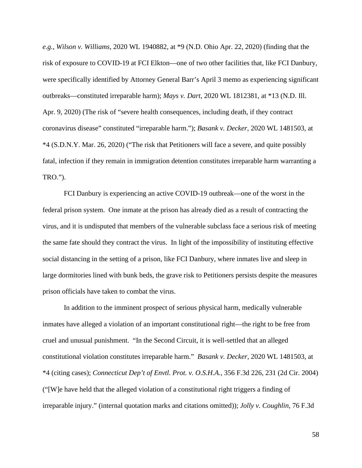*e.g.*, *Wilson v. Williams*, 2020 WL 1940882, at \*9 (N.D. Ohio Apr. 22, 2020) (finding that the risk of exposure to COVID-19 at FCI Elkton—one of two other facilities that, like FCI Danbury, were specifically identified by Attorney General Barr's April 3 memo as experiencing significant outbreaks—constituted irreparable harm); *Mays v. Dart*, 2020 WL 1812381, at \*13 (N.D. Ill. Apr. 9, 2020) (The risk of "severe health consequences, including death, if they contract coronavirus disease" constituted "irreparable harm."); *Basank v. Decker*, 2020 WL 1481503, at \*4 (S.D.N.Y. Mar. 26, 2020) ("The risk that Petitioners will face a severe, and quite possibly fatal, infection if they remain in immigration detention constitutes irreparable harm warranting a TRO.").

FCI Danbury is experiencing an active COVID-19 outbreak—one of the worst in the federal prison system. One inmate at the prison has already died as a result of contracting the virus, and it is undisputed that members of the vulnerable subclass face a serious risk of meeting the same fate should they contract the virus. In light of the impossibility of instituting effective social distancing in the setting of a prison, like FCI Danbury, where inmates live and sleep in large dormitories lined with bunk beds, the grave risk to Petitioners persists despite the measures prison officials have taken to combat the virus.

In addition to the imminent prospect of serious physical harm, medically vulnerable inmates have alleged a violation of an important constitutional right—the right to be free from cruel and unusual punishment. "In the Second Circuit, it is well-settled that an alleged constitutional violation constitutes irreparable harm." *Basank v. Decker*, 2020 WL 1481503, at \*4 (citing cases); *Connecticut Dep't of Envtl. Prot. v. O.S.H.A.*, 356 F.3d 226, 231 (2d Cir. 2004) ("[W]e have held that the alleged violation of a constitutional right triggers a finding of irreparable injury." (internal quotation marks and citations omitted)); *Jolly v. Coughlin*, 76 F.3d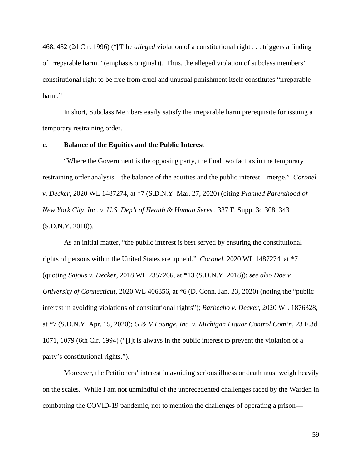468, 482 (2d Cir. 1996) ("[T]he *alleged* violation of a constitutional right . . . triggers a finding of irreparable harm." (emphasis original)). Thus, the alleged violation of subclass members' constitutional right to be free from cruel and unusual punishment itself constitutes "irreparable harm."

In short, Subclass Members easily satisfy the irreparable harm prerequisite for issuing a temporary restraining order.

### **c. Balance of the Equities and the Public Interest**

"Where the Government is the opposing party, the final two factors in the temporary restraining order analysis—the balance of the equities and the public interest—merge." *Coronel v. Decker*, 2020 WL 1487274, at \*7 (S.D.N.Y. Mar. 27, 2020) (citing *Planned Parenthood of New York City, Inc. v. U.S. Dep't of Health & Human Servs.*, 337 F. Supp. 3d 308, 343 (S.D.N.Y. 2018)).

As an initial matter, "the public interest is best served by ensuring the constitutional rights of persons within the United States are upheld." *Coronel*, 2020 WL 1487274, at \*7 (quoting *Sajous v. Decker*, 2018 WL 2357266, at \*13 (S.D.N.Y. 2018)); *see also Doe v. University of Connecticut*, 2020 WL 406356, at \*6 (D. Conn. Jan. 23, 2020) (noting the "public interest in avoiding violations of constitutional rights"); *Barbecho v. Decker*, 2020 WL 1876328, at \*7 (S.D.N.Y. Apr. 15, 2020); *G & V Lounge, Inc. v. Michigan Liquor Control Com'n*, 23 F.3d 1071, 1079 (6th Cir. 1994) ("[I]t is always in the public interest to prevent the violation of a party's constitutional rights.").

Moreover, the Petitioners' interest in avoiding serious illness or death must weigh heavily on the scales. While I am not unmindful of the unprecedented challenges faced by the Warden in combatting the COVID-19 pandemic, not to mention the challenges of operating a prison—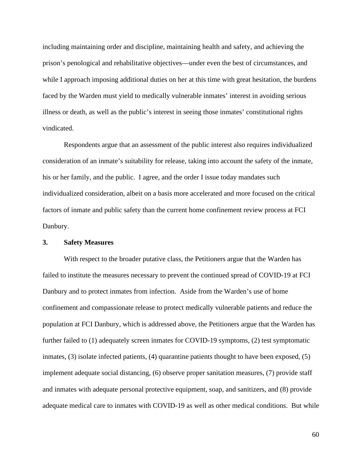including maintaining order and discipline, maintaining health and safety, and achieving the prison's penological and rehabilitative objectives—under even the best of circumstances, and while I approach imposing additional duties on her at this time with great hesitation, the burdens faced by the Warden must yield to medically vulnerable inmates' interest in avoiding serious illness or death, as well as the public's interest in seeing those inmates' constitutional rights vindicated.

Respondents argue that an assessment of the public interest also requires individualized consideration of an inmate's suitability for release, taking into account the safety of the inmate, his or her family, and the public. I agree, and the order I issue today mandates such individualized consideration, albeit on a basis more accelerated and more focused on the critical factors of inmate and public safety than the current home confinement review process at FCI Danbury.

# **3. Safety Measures**

With respect to the broader putative class, the Petitioners argue that the Warden has failed to institute the measures necessary to prevent the continued spread of COVID-19 at FCI Danbury and to protect inmates from infection. Aside from the Warden's use of home confinement and compassionate release to protect medically vulnerable patients and reduce the population at FCI Danbury, which is addressed above, the Petitioners argue that the Warden has further failed to (1) adequately screen inmates for COVID-19 symptoms, (2) test symptomatic inmates, (3) isolate infected patients, (4) quarantine patients thought to have been exposed, (5) implement adequate social distancing, (6) observe proper sanitation measures, (7) provide staff and inmates with adequate personal protective equipment, soap, and sanitizers, and (8) provide adequate medical care to inmates with COVID-19 as well as other medical conditions. But while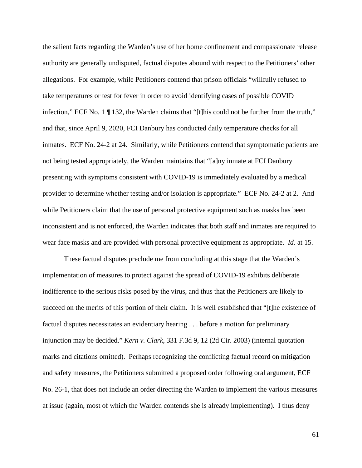the salient facts regarding the Warden's use of her home confinement and compassionate release authority are generally undisputed, factual disputes abound with respect to the Petitioners' other allegations. For example, while Petitioners contend that prison officials "willfully refused to take temperatures or test for fever in order to avoid identifying cases of possible COVID infection," ECF No. 1 ¶ 132, the Warden claims that "[t]his could not be further from the truth," and that, since April 9, 2020, FCI Danbury has conducted daily temperature checks for all inmates. ECF No. 24-2 at 24. Similarly, while Petitioners contend that symptomatic patients are not being tested appropriately, the Warden maintains that "[a]ny inmate at FCI Danbury presenting with symptoms consistent with COVID-19 is immediately evaluated by a medical provider to determine whether testing and/or isolation is appropriate." ECF No. 24-2 at 2. And while Petitioners claim that the use of personal protective equipment such as masks has been inconsistent and is not enforced, the Warden indicates that both staff and inmates are required to wear face masks and are provided with personal protective equipment as appropriate. *Id.* at 15.

These factual disputes preclude me from concluding at this stage that the Warden's implementation of measures to protect against the spread of COVID-19 exhibits deliberate indifference to the serious risks posed by the virus, and thus that the Petitioners are likely to succeed on the merits of this portion of their claim. It is well established that "[t]he existence of factual disputes necessitates an evidentiary hearing . . . before a motion for preliminary injunction may be decided." *Kern v. Clark*, 331 F.3d 9, 12 (2d Cir. 2003) (internal quotation marks and citations omitted). Perhaps recognizing the conflicting factual record on mitigation and safety measures, the Petitioners submitted a proposed order following oral argument, ECF No. 26-1, that does not include an order directing the Warden to implement the various measures at issue (again, most of which the Warden contends she is already implementing). I thus deny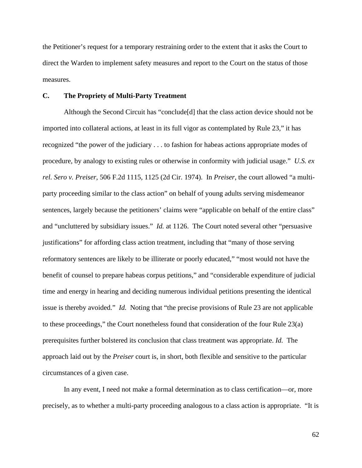the Petitioner's request for a temporary restraining order to the extent that it asks the Court to direct the Warden to implement safety measures and report to the Court on the status of those measures.

### **C. The Propriety of Multi-Party Treatment**

Although the Second Circuit has "conclude[d] that the class action device should not be imported into collateral actions, at least in its full vigor as contemplated by Rule 23," it has recognized "the power of the judiciary . . . to fashion for habeas actions appropriate modes of procedure, by analogy to existing rules or otherwise in conformity with judicial usage." *U.S. ex rel. Sero v. Preiser*, 506 F.2d 1115, 1125 (2d Cir. 1974). In *Preiser*, the court allowed "a multiparty proceeding similar to the class action" on behalf of young adults serving misdemeanor sentences, largely because the petitioners' claims were "applicable on behalf of the entire class" and "uncluttered by subsidiary issues." *Id.* at 1126. The Court noted several other "persuasive justifications" for affording class action treatment, including that "many of those serving reformatory sentences are likely to be illiterate or poorly educated," "most would not have the benefit of counsel to prepare habeas corpus petitions," and "considerable expenditure of judicial time and energy in hearing and deciding numerous individual petitions presenting the identical issue is thereby avoided." *Id.* Noting that "the precise provisions of Rule 23 are not applicable to these proceedings," the Court nonetheless found that consideration of the four Rule 23(a) prerequisites further bolstered its conclusion that class treatment was appropriate. *Id.* The approach laid out by the *Preiser* court is, in short, both flexible and sensitive to the particular circumstances of a given case.

In any event, I need not make a formal determination as to class certification—or, more precisely, as to whether a multi-party proceeding analogous to a class action is appropriate. "It is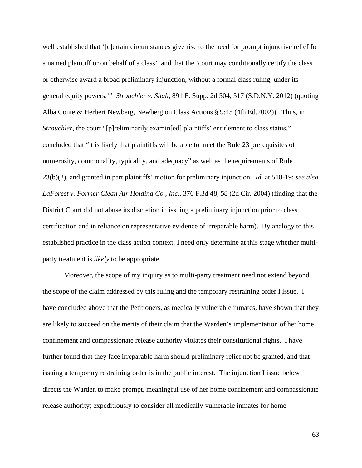well established that '[c]ertain circumstances give rise to the need for prompt injunctive relief for a named plaintiff or on behalf of a class' and that the 'court may conditionally certify the class or otherwise award a broad preliminary injunction, without a formal class ruling, under its general equity powers.'" *Strouchler v. Shah*, 891 F. Supp. 2d 504, 517 (S.D.N.Y. 2012) (quoting Alba Conte & Herbert Newberg, Newberg on Class Actions § 9:45 (4th Ed.2002)). Thus, in *Strouchler*, the court "[p]reliminarily examin[ed] plaintiffs' entitlement to class status," concluded that "it is likely that plaintiffs will be able to meet the Rule 23 prerequisites of numerosity, commonality, typicality, and adequacy" as well as the requirements of Rule 23(b)(2), and granted in part plaintiffs' motion for preliminary injunction. *Id.* at 518-19; *see also LaForest v. Former Clean Air Holding Co., Inc.*, 376 F.3d 48, 58 (2d Cir. 2004) (finding that the District Court did not abuse its discretion in issuing a preliminary injunction prior to class certification and in reliance on representative evidence of irreparable harm). By analogy to this established practice in the class action context, I need only determine at this stage whether multiparty treatment is *likely* to be appropriate.

Moreover, the scope of my inquiry as to multi-party treatment need not extend beyond the scope of the claim addressed by this ruling and the temporary restraining order I issue. I have concluded above that the Petitioners, as medically vulnerable inmates, have shown that they are likely to succeed on the merits of their claim that the Warden's implementation of her home confinement and compassionate release authority violates their constitutional rights. I have further found that they face irreparable harm should preliminary relief not be granted, and that issuing a temporary restraining order is in the public interest. The injunction I issue below directs the Warden to make prompt, meaningful use of her home confinement and compassionate release authority; expeditiously to consider all medically vulnerable inmates for home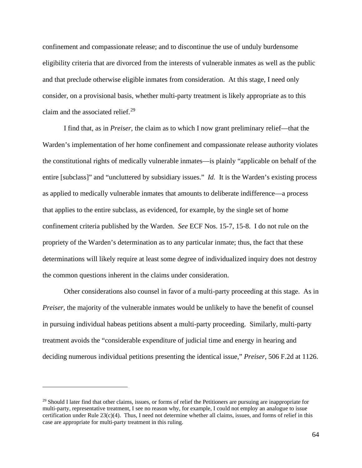confinement and compassionate release; and to discontinue the use of unduly burdensome eligibility criteria that are divorced from the interests of vulnerable inmates as well as the public and that preclude otherwise eligible inmates from consideration. At this stage, I need only consider, on a provisional basis, whether multi-party treatment is likely appropriate as to this claim and the associated relief. $29$ 

I find that, as in *Preiser*, the claim as to which I now grant preliminary relief—that the Warden's implementation of her home confinement and compassionate release authority violates the constitutional rights of medically vulnerable inmates—is plainly "applicable on behalf of the entire [subclass]" and "uncluttered by subsidiary issues." *Id.* It is the Warden's existing process as applied to medically vulnerable inmates that amounts to deliberate indifference—a process that applies to the entire subclass, as evidenced, for example, by the single set of home confinement criteria published by the Warden. *See* ECF Nos. 15-7, 15-8. I do not rule on the propriety of the Warden's determination as to any particular inmate; thus, the fact that these determinations will likely require at least some degree of individualized inquiry does not destroy the common questions inherent in the claims under consideration.

Other considerations also counsel in favor of a multi-party proceeding at this stage. As in *Preiser*, the majority of the vulnerable inmates would be unlikely to have the benefit of counsel in pursuing individual habeas petitions absent a multi-party proceeding. Similarly, multi-party treatment avoids the "considerable expenditure of judicial time and energy in hearing and deciding numerous individual petitions presenting the identical issue," *Preiser*, 506 F.2d at 1126.

<span id="page-63-0"></span> $29$  Should I later find that other claims, issues, or forms of relief the Petitioners are pursuing are inappropriate for multi-party, representative treatment, I see no reason why, for example, I could not employ an analogue to issue certification under Rule  $23(c)(4)$ . Thus, I need not determine whether all claims, issues, and forms of relief in this case are appropriate for multi-party treatment in this ruling.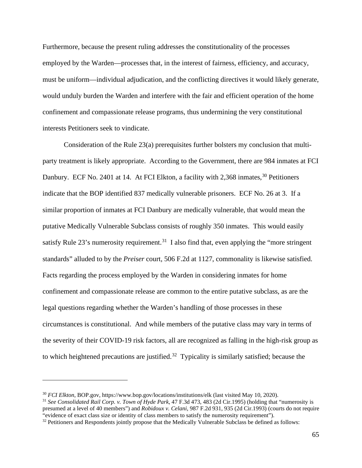Furthermore, because the present ruling addresses the constitutionality of the processes employed by the Warden—processes that, in the interest of fairness, efficiency, and accuracy, must be uniform—individual adjudication, and the conflicting directives it would likely generate, would unduly burden the Warden and interfere with the fair and efficient operation of the home confinement and compassionate release programs, thus undermining the very constitutional interests Petitioners seek to vindicate.

Consideration of the Rule 23(a) prerequisites further bolsters my conclusion that multiparty treatment is likely appropriate. According to the Government, there are 984 inmates at FCI Danbury. ECF No. 2401 at 14. At FCI Elkton, a facility with 2,368 inmates,<sup>[30](#page-64-0)</sup> Petitioners indicate that the BOP identified 837 medically vulnerable prisoners. ECF No. 26 at 3. If a similar proportion of inmates at FCI Danbury are medically vulnerable, that would mean the putative Medically Vulnerable Subclass consists of roughly 350 inmates. This would easily satisfy Rule 23's numerosity requirement.<sup>[31](#page-64-1)</sup> I also find that, even applying the "more stringent" standards" alluded to by the *Preiser* court, 506 F.2d at 1127, commonality is likewise satisfied. Facts regarding the process employed by the Warden in considering inmates for home confinement and compassionate release are common to the entire putative subclass, as are the legal questions regarding whether the Warden's handling of those processes in these circumstances is constitutional. And while members of the putative class may vary in terms of the severity of their COVID-19 risk factors, all are recognized as falling in the high-risk group as to which heightened precautions are justified.<sup>[32](#page-64-2)</sup> Typicality is similarly satisfied; because the

<span id="page-64-1"></span><sup>31</sup> *See Consolidated Rail Corp. v. Town of Hyde Park*, 47 F.3d 473, 483 (2d Cir.1995) (holding that "numerosity is presumed at a level of 40 members") and *Robidoux v. Celani*, 987 F.2d 931, 935 (2d Cir.1993) (courts do not require "evidence of exact class size or identity of class members to satisfy the numerosity requirement").

<span id="page-64-0"></span><sup>30</sup> *FCI Elkton*, BOP.gov, https://www.bop.gov/locations/institutions/elk (last visited May 10, 2020).

<span id="page-64-2"></span><sup>&</sup>lt;sup>32</sup> Petitioners and Respondents jointly propose that the Medically Vulnerable Subclass be defined as follows: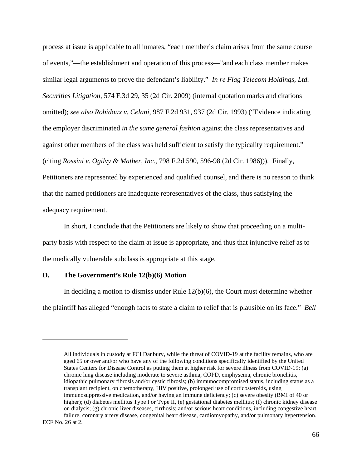process at issue is applicable to all inmates, "each member's claim arises from the same course of events,"—the establishment and operation of this process—"and each class member makes similar legal arguments to prove the defendant's liability." *In re Flag Telecom Holdings, Ltd. Securities Litigation*, 574 F.3d 29, 35 (2d Cir. 2009) (internal quotation marks and citations omitted); *see also Robidoux v. Celani*, 987 F.2d 931, 937 (2d Cir. 1993) ("Evidence indicating the employer discriminated *in the same general fashion* against the class representatives and against other members of the class was held sufficient to satisfy the typicality requirement." (citing *Rossini v. Ogilvy & Mather, Inc.*, 798 F.2d 590, 596-98 (2d Cir. 1986))). Finally, Petitioners are represented by experienced and qualified counsel, and there is no reason to think that the named petitioners are inadequate representatives of the class, thus satisfying the adequacy requirement.

In short, I conclude that the Petitioners are likely to show that proceeding on a multiparty basis with respect to the claim at issue is appropriate, and thus that injunctive relief as to the medically vulnerable subclass is appropriate at this stage.

#### **D. The Government's Rule 12(b)(6) Motion**

In deciding a motion to dismiss under Rule  $12(b)(6)$ , the Court must determine whether the plaintiff has alleged "enough facts to state a claim to relief that is plausible on its face." *Bell* 

All individuals in custody at FCI Danbury, while the threat of COVID-19 at the facility remains, who are aged 65 or over and/or who have any of the following conditions specifically identified by the United States Centers for Disease Control as putting them at higher risk for severe illness from COVID-19: (a) chronic lung disease including moderate to severe asthma, COPD, emphysema, chronic bronchitis, idiopathic pulmonary fibrosis and/or cystic fibrosis; (b) immunocompromised status, including status as a transplant recipient, on chemotherapy, HIV positive, prolonged use of corticosteroids, using immunosuppressive medication, and/or having an immune deficiency; (c) severe obesity (BMI of 40 or higher); (d) diabetes mellitus Type I or Type II, (e) gestational diabetes mellitus; (f) chronic kidney disease on dialysis; (g) chronic liver diseases, cirrhosis; and/or serious heart conditions, including congestive heart failure, coronary artery disease, congenital heart disease, cardiomyopathy, and/or pulmonary hypertension.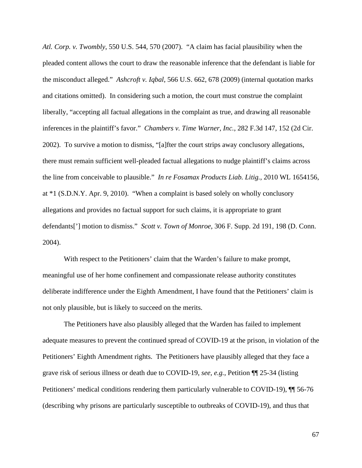*Atl. Corp. v. Twombly*, 550 U.S. 544, 570 (2007). "A claim has facial plausibility when the pleaded content allows the court to draw the reasonable inference that the defendant is liable for the misconduct alleged." *Ashcroft v. Iqbal*, 566 U.S. 662, 678 (2009) (internal quotation marks and citations omitted). In considering such a motion, the court must construe the complaint liberally, "accepting all factual allegations in the complaint as true, and drawing all reasonable inferences in the plaintiff's favor." *Chambers v. Time Warner, Inc.*, 282 F.3d 147, 152 (2d Cir. 2002). To survive a motion to dismiss, "[a]fter the court strips away conclusory allegations, there must remain sufficient well-pleaded factual allegations to nudge plaintiff's claims across the line from conceivable to plausible." *In re Fosamax Products Liab. Litig.*, 2010 WL 1654156, at \*1 (S.D.N.Y. Apr. 9, 2010). "When a complaint is based solely on wholly conclusory allegations and provides no factual support for such claims, it is appropriate to grant defendants['] motion to dismiss." *Scott v. Town of Monroe*, 306 F. Supp. 2d 191, 198 (D. Conn. 2004).

With respect to the Petitioners' claim that the Warden's failure to make prompt, meaningful use of her home confinement and compassionate release authority constitutes deliberate indifference under the Eighth Amendment, I have found that the Petitioners' claim is not only plausible, but is likely to succeed on the merits.

The Petitioners have also plausibly alleged that the Warden has failed to implement adequate measures to prevent the continued spread of COVID-19 at the prison, in violation of the Petitioners' Eighth Amendment rights. The Petitioners have plausibly alleged that they face a grave risk of serious illness or death due to COVID-19, *see, e.g.*, Petition ¶¶ 25-34 (listing Petitioners' medical conditions rendering them particularly vulnerable to COVID-19), ¶¶ 56-76 (describing why prisons are particularly susceptible to outbreaks of COVID-19), and thus that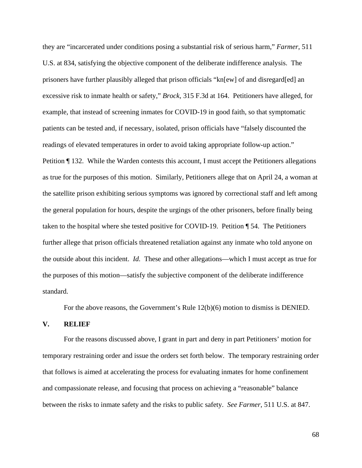they are "incarcerated under conditions posing a substantial risk of serious harm," *Farmer*, 511 U.S. at 834, satisfying the objective component of the deliberate indifference analysis. The prisoners have further plausibly alleged that prison officials "kn[ew] of and disregard[ed] an excessive risk to inmate health or safety," *Brock*, 315 F.3d at 164. Petitioners have alleged, for example, that instead of screening inmates for COVID-19 in good faith, so that symptomatic patients can be tested and, if necessary, isolated, prison officials have "falsely discounted the readings of elevated temperatures in order to avoid taking appropriate follow-up action." Petition ¶ 132. While the Warden contests this account, I must accept the Petitioners allegations as true for the purposes of this motion. Similarly, Petitioners allege that on April 24, a woman at the satellite prison exhibiting serious symptoms was ignored by correctional staff and left among the general population for hours, despite the urgings of the other prisoners, before finally being taken to the hospital where she tested positive for COVID-19. Petition ¶ 54. The Petitioners further allege that prison officials threatened retaliation against any inmate who told anyone on the outside about this incident. *Id.* These and other allegations—which I must accept as true for the purposes of this motion—satisfy the subjective component of the deliberate indifference standard.

For the above reasons, the Government's Rule 12(b)(6) motion to dismiss is DENIED.

#### **V. RELIEF**

For the reasons discussed above, I grant in part and deny in part Petitioners' motion for temporary restraining order and issue the orders set forth below. The temporary restraining order that follows is aimed at accelerating the process for evaluating inmates for home confinement and compassionate release, and focusing that process on achieving a "reasonable" balance between the risks to inmate safety and the risks to public safety. *See Farmer*, 511 U.S. at 847.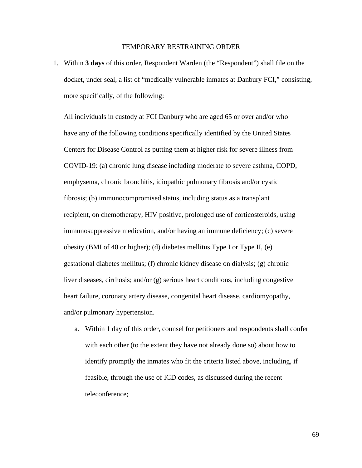#### TEMPORARY RESTRAINING ORDER

1. Within **3 days** of this order, Respondent Warden (the "Respondent") shall file on the docket, under seal, a list of "medically vulnerable inmates at Danbury FCI," consisting, more specifically, of the following:

All individuals in custody at FCI Danbury who are aged 65 or over and/or who have any of the following conditions specifically identified by the United States Centers for Disease Control as putting them at higher risk for severe illness from COVID-19: (a) chronic lung disease including moderate to severe asthma, COPD, emphysema, chronic bronchitis, idiopathic pulmonary fibrosis and/or cystic fibrosis; (b) immunocompromised status, including status as a transplant recipient, on chemotherapy, HIV positive, prolonged use of corticosteroids, using immunosuppressive medication, and/or having an immune deficiency; (c) severe obesity (BMI of 40 or higher); (d) diabetes mellitus Type I or Type II, (e) gestational diabetes mellitus; (f) chronic kidney disease on dialysis; (g) chronic liver diseases, cirrhosis; and/or (g) serious heart conditions, including congestive heart failure, coronary artery disease, congenital heart disease, cardiomyopathy, and/or pulmonary hypertension.

a. Within 1 day of this order, counsel for petitioners and respondents shall confer with each other (to the extent they have not already done so) about how to identify promptly the inmates who fit the criteria listed above, including, if feasible, through the use of ICD codes, as discussed during the recent teleconference;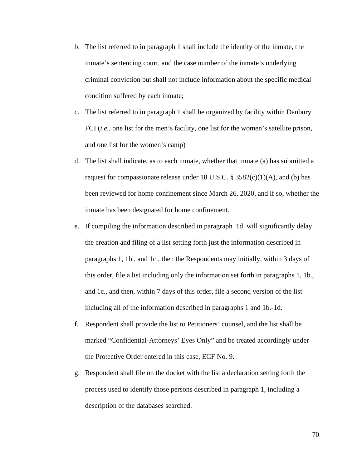- b. The list referred to in paragraph 1 shall include the identity of the inmate, the inmate's sentencing court, and the case number of the inmate's underlying criminal conviction but shall not include information about the specific medical condition suffered by each inmate;
- c. The list referred to in paragraph 1 shall be organized by facility within Danbury FCI (*i.e.*, one list for the men's facility, one list for the women's satellite prison, and one list for the women's camp)
- d. The list shall indicate, as to each inmate, whether that inmate (a) has submitted a request for compassionate release under 18 U.S.C.  $\S 3582(c)(1)(A)$ , and (b) has been reviewed for home confinement since March 26, 2020, and if so, whether the inmate has been designated for home confinement.
- e. If compiling the information described in paragraph 1d. will significantly delay the creation and filing of a list setting forth just the information described in paragraphs 1, 1b., and 1c., then the Respondents may initially, within 3 days of this order, file a list including only the information set forth in paragraphs 1, 1b., and 1c., and then, within 7 days of this order, file a second version of the list including all of the information described in paragraphs 1 and 1b.-1d.
- f. Respondent shall provide the list to Petitioners' counsel, and the list shall be marked "Confidential-Attorneys' Eyes Only" and be treated accordingly under the Protective Order entered in this case, ECF No. 9.
- g. Respondent shall file on the docket with the list a declaration setting forth the process used to identify those persons described in paragraph 1, including a description of the databases searched.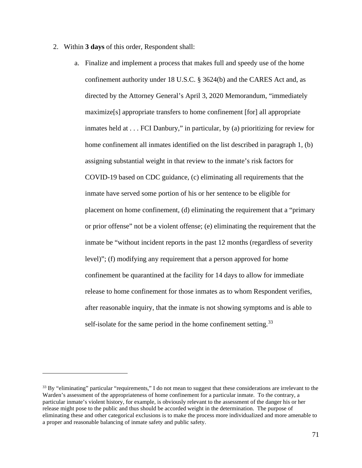- 2. Within **3 days** of this order, Respondent shall:
	- a. Finalize and implement a process that makes full and speedy use of the home confinement authority under 18 U.S.C. § 3624(b) and the CARES Act and, as directed by the Attorney General's April 3, 2020 Memorandum, "immediately maximize[s] appropriate transfers to home confinement [for] all appropriate inmates held at . . . FCI Danbury," in particular, by (a) prioritizing for review for home confinement all inmates identified on the list described in paragraph 1, (b) assigning substantial weight in that review to the inmate's risk factors for COVID-19 based on CDC guidance, (c) eliminating all requirements that the inmate have served some portion of his or her sentence to be eligible for placement on home confinement, (d) eliminating the requirement that a "primary or prior offense" not be a violent offense; (e) eliminating the requirement that the inmate be "without incident reports in the past 12 months (regardless of severity level)"; (f) modifying any requirement that a person approved for home confinement be quarantined at the facility for 14 days to allow for immediate release to home confinement for those inmates as to whom Respondent verifies, after reasonable inquiry, that the inmate is not showing symptoms and is able to self-isolate for the same period in the home confinement setting.<sup>33</sup>

<span id="page-70-0"></span> $33$  By "eliminating" particular "requirements," I do not mean to suggest that these considerations are irrelevant to the Warden's assessment of the appropriateness of home confinement for a particular inmate. To the contrary, a particular inmate's violent history, for example, is obviously relevant to the assessment of the danger his or her release might pose to the public and thus should be accorded weight in the determination. The purpose of eliminating these and other categorical exclusions is to make the process more individualized and more amenable to a proper and reasonable balancing of inmate safety and public safety.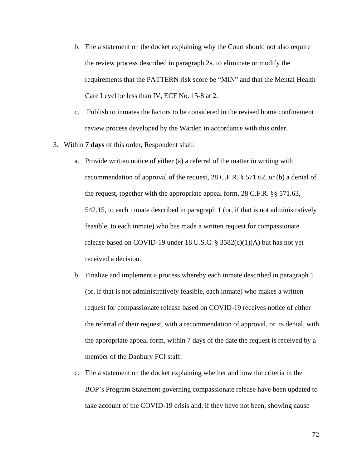- b. File a statement on the docket explaining why the Court should not also require the review process described in paragraph 2a. to eliminate or modify the requirements that the PATTERN risk score be "MIN" and that the Mental Health Care Level be less than IV, ECF No. 15-8 at 2.
- c. Publish to inmates the factors to be considered in the revised home confinement review process developed by the Warden in accordance with this order.
- 3. Within **7 days** of this order, Respondent shall:
	- a. Provide written notice of either (a) a referral of the matter in writing with recommendation of approval of the request, 28 C.F.R. § 571.62, or (b) a denial of the request, together with the appropriate appeal form, 28 C.F.R. §§ 571.63, 542.15, to each inmate described in paragraph 1 (or, if that is not administratively feasible, to each inmate) who has made a written request for compassionate release based on COVID-19 under 18 U.S.C.  $\S$  3582(c)(1)(A) but has not yet received a decision.
	- b. Finalize and implement a process whereby each inmate described in paragraph 1 (or, if that is not administratively feasible, each inmate) who makes a written request for compassionate release based on COVID-19 receives notice of either the referral of their request, with a recommendation of approval, or its denial, with the appropriate appeal form, within 7 days of the date the request is received by a member of the Danbury FCI staff.
	- c. File a statement on the docket explaining whether and how the criteria in the BOP's Program Statement governing compassionate release have been updated to take account of the COVID-19 crisis and, if they have not been, showing cause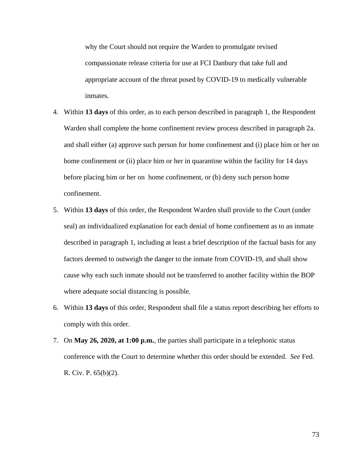why the Court should not require the Warden to promulgate revised compassionate release criteria for use at FCI Danbury that take full and appropriate account of the threat posed by COVID-19 to medically vulnerable inmates.

- 4. Within **13 days** of this order, as to each person described in paragraph 1, the Respondent Warden shall complete the home confinement review process described in paragraph 2a. and shall either (a) approve such person for home confinement and (i) place him or her on home confinement or (ii) place him or her in quarantine within the facility for 14 days before placing him or her on home confinement, or (b) deny such person home confinement.
- 5. Within **13 days** of this order, the Respondent Warden shall provide to the Court (under seal) an individualized explanation for each denial of home confinement as to an inmate described in paragraph 1, including at least a brief description of the factual basis for any factors deemed to outweigh the danger to the inmate from COVID-19, and shall show cause why each such inmate should not be transferred to another facility within the BOP where adequate social distancing is possible.
- 6. Within **13 days** of this order, Respondent shall file a status report describing her efforts to comply with this order.
- 7. On **May 26, 2020, at 1:00 p.m.**, the parties shall participate in a telephonic status conference with the Court to determine whether this order should be extended. *See* Fed. R. Civ. P. 65(b)(2).